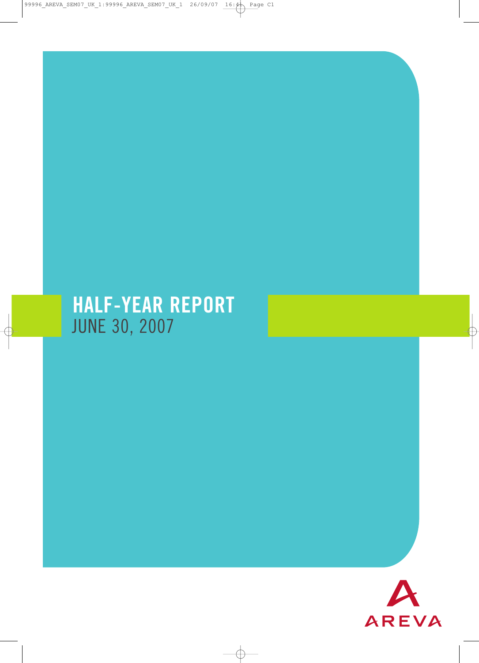# HALF-YEAR REPORT JUNE 30, 2007

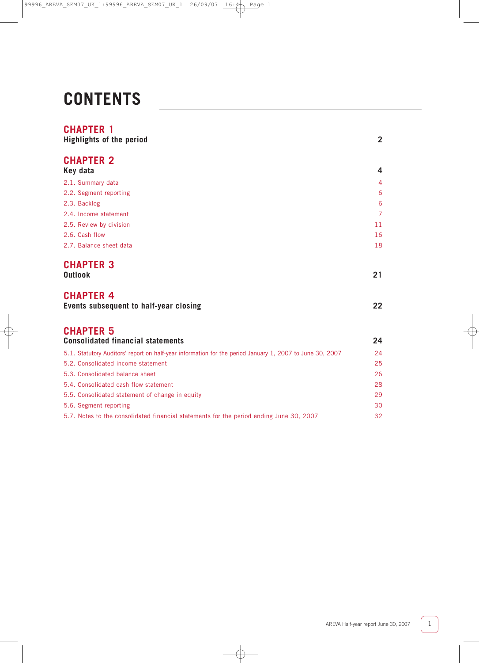# **CONTENTS**

# **CHAPTER 1**

| <b>Highlights of the period</b>                                                                          | $\overline{2}$ |
|----------------------------------------------------------------------------------------------------------|----------------|
| <b>CHAPTER 2</b><br>Key data                                                                             | 4              |
| 2.1. Summary data                                                                                        | $\overline{4}$ |
| 2.2. Segment reporting                                                                                   | 6              |
| 2.3. Backlog                                                                                             | 6              |
| 2.4. Income statement                                                                                    | $\overline{7}$ |
| 2.5. Review by division                                                                                  | 11             |
| 2.6. Cash flow                                                                                           | 16             |
| 2.7. Balance sheet data                                                                                  | 18             |
| <b>CHAPTER 3</b><br><b>Outlook</b>                                                                       | 21             |
| <b>CHAPTER 4</b><br>Events subsequent to half-year closing                                               | 22             |
| <b>CHAPTER 5</b><br><b>Consolidated financial statements</b>                                             | 24             |
| 5.1. Statutory Auditors' report on half-year information for the period January 1, 2007 to June 30, 2007 | 24             |
| 5.2. Consolidated income statement                                                                       | 25             |
| 5.3. Consolidated balance sheet                                                                          | 26             |
| 5.4. Consolidated cash flow statement                                                                    | 28             |
| 5.5. Consolidated statement of change in equity                                                          | 29             |
| 5.6. Segment reporting                                                                                   | 30             |
| 5.7. Notes to the consolidated financial statements for the period ending June 30, 2007                  | 32             |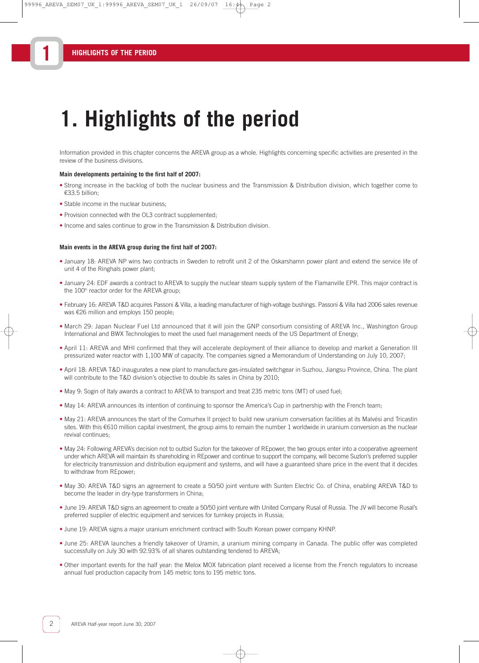**1**

# **1. Highlights of the period**

Information provided in this chapter concerns the AREVA group as a whole. Highlights concerning specific activities are presented in the review of the business divisions.

#### **Main developments pertaining to the first half of 2007:**

- Strong increase in the backlog of both the nuclear business and the Transmission & Distribution division, which together come to €33.5 billion;
- Stable income in the nuclear business;
- Provision connected with the OL3 contract supplemented;
- Income and sales continue to grow in the Transmission & Distribution division.

#### **Main events in the AREVA group during the first half of 2007:**

- January 18: AREVA NP wins two contracts in Sweden to retrofit unit 2 of the Oskarshamn power plant and extend the service life of unit 4 of the Ringhals power plant;
- January 24: EDF awards a contract to AREVA to supply the nuclear steam supply system of the Flamanville EPR. This major contract is the 100<sup>th</sup> reactor order for the AREVA group;
- February 16: AREVA T&D acquires Passoni & Villa, a leading manufacturer of high-voltage bushings. Passoni & Villa had 2006 sales revenue was €26 million and employs 150 people;
- March 29: Japan Nuclear Fuel Ltd announced that it will join the GNP consortium consisting of AREVA Inc., Washington Group International and BWX Technologies to meet the used fuel management needs of the US Department of Energy;
- April 11: AREVA and MHI confirmed that they will accelerate deployment of their alliance to develop and market a Generation III pressurized water reactor with 1,100 MW of capacity. The companies signed a Memorandum of Understanding on July 10, 2007;
- April 18: AREVA T&D inaugurates a new plant to manufacture gas-insulated switchgear in Suzhou, Jiangsu Province, China. The plant will contribute to the T&D division's objective to double its sales in China by 2010;
- May 9: Sogin of Italy awards a contract to AREVA to transport and treat 235 metric tons (MT) of used fuel;
- May 14: AREVA announces its intention of continuing to sponsor the America's Cup in partnership with the French team;
- May 21: AREVA announces the start of the Comurhex II project to build new uranium conversation facilities at its Malvési and Tricastin sites. With this €610 million capital investment, the group aims to remain the number 1 worldwide in uranium conversion as the nuclear revival continues;
- May 24: Following AREVA's decision not to outbid Suzlon for the takeover of REpower, the two groups enter into a cooperative agreement under which AREVA will maintain its shareholding in REpower and continue to support the company, will become Suzlon's preferred supplier for electricity transmission and distribution equipment and systems, and will have a guaranteed share price in the event that it decides to withdraw from REpower;
- May 30: AREVA T&D signs an agreement to create a 50/50 joint venture with Sunten Electric Co. of China, enabling AREVA T&D to become the leader in dry-type transformers in China;
- June 19: AREVA T&D signs an agreement to create a 50/50 joint venture with United Company Rusal of Russia. The JV will become Rusal's preferred supplier of electric equipment and services for turnkey projects in Russia;
- June 19: AREVA signs a major uranium enrichment contract with South Korean power company KHNP.
- June 25: AREVA launches a friendly takeover of Uramin, a uranium mining company in Canada. The public offer was completed successfully on July 30 with 92.93% of all shares outstanding tendered to AREVA;
- Other important events for the half year: the Melox MOX fabrication plant received a license from the French regulators to increase annual fuel production capacity from 145 metric tons to 195 metric tons.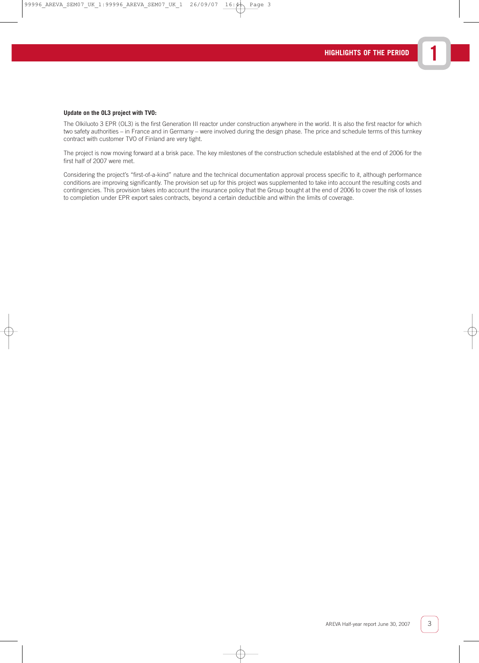#### **Update on the OL3 project with TVO:**

The Olkiluoto 3 EPR (OL3) is the first Generation III reactor under construction anywhere in the world. It is also the first reactor for which two safety authorities – in France and in Germany – were involved during the design phase. The price and schedule terms of this turnkey contract with customer TVO of Finland are very tight.

The project is now moving forward at a brisk pace. The key milestones of the construction schedule established at the end of 2006 for the first half of 2007 were met.

Considering the project's "first-of-a-kind" nature and the technical documentation approval process specific to it, although performance conditions are improving significantly. The provision set up for this project was supplemented to take into account the resulting costs and contingencies. This provision takes into account the insurance policy that the Group bought at the end of 2006 to cover the risk of losses to completion under EPR export sales contracts, beyond a certain deductible and within the limits of coverage.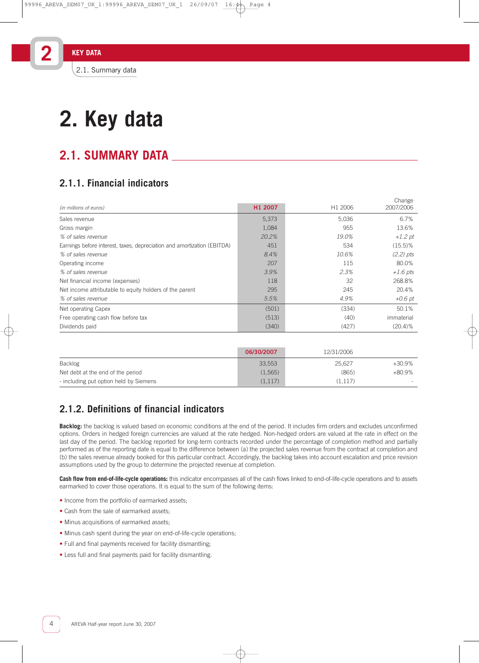# **2.1. SUMMARY DATA**

# **2.1.1. Financial indicators**

|       |                  | Change<br>2007/2006 |
|-------|------------------|---------------------|
|       |                  |                     |
|       |                  | 6.7%                |
| 1,084 | 955              | 13.6%               |
| 20.2% | 19.0%            | $+1.2$ pt           |
| 451   | 534              | $(15.5)\%$          |
| 8.4%  | 10.6%            | $(2.2)$ pts         |
| 207   | 115              | 80.0%               |
| 3.9%  | 2.3%             | $+1.6$ pts          |
| 118   | 32               | 268.8%              |
| 295   | 245              | 20.4%               |
| 5.5%  | 4.9%             | $+0.6$ pt           |
| (501) | (334)            | 50.1%               |
| (513) | (40)             | immaterial          |
| (340) | (427)            | $(20.4)\%$          |
|       | H1 2007<br>5,373 | H1 2006<br>5,036    |

|                                        | 06/30/2007 | 12/31/2006 |           |
|----------------------------------------|------------|------------|-----------|
| Backlog                                | 33,553     | 25.627     | $+30.9\%$ |
| Net debt at the end of the period      | (1, 565)   | (865)      | $+80.9\%$ |
| - including put option held by Siemens | (1, 117)   | (1.117)    | $\sim$    |

# **2.1.2. Definitions of financial indicators**

**Backlog:** the backlog is valued based on economic conditions at the end of the period. It includes firm orders and excludes unconfirmed options. Orders in hedged foreign currencies are valued at the rate hedged. Non-hedged orders are valued at the rate in effect on the last day of the period. The backlog reported for long-term contracts recorded under the percentage of completion method and partially performed as of the reporting date is equal to the difference between (a) the projected sales revenue from the contract at completion and (b) the sales revenue already booked for this particular contract. Accordingly, the backlog takes into account escalation and price revision assumptions used by the group to determine the projected revenue at completion.

**Cash flow from end-of-life-cycle operations:** this indicator encompasses all of the cash flows linked to end-of-life-cycle operations and to assets earmarked to cover those operations. It is equal to the sum of the following items:

- Income from the portfolio of earmarked assets;
- Cash from the sale of earmarked assets:
- Minus acquisitions of earmarked assets;
- Minus cash spent during the year on end-of-life-cycle operations;
- Full and final payments received for facility dismantling;
- Less full and final payments paid for facility dismantling.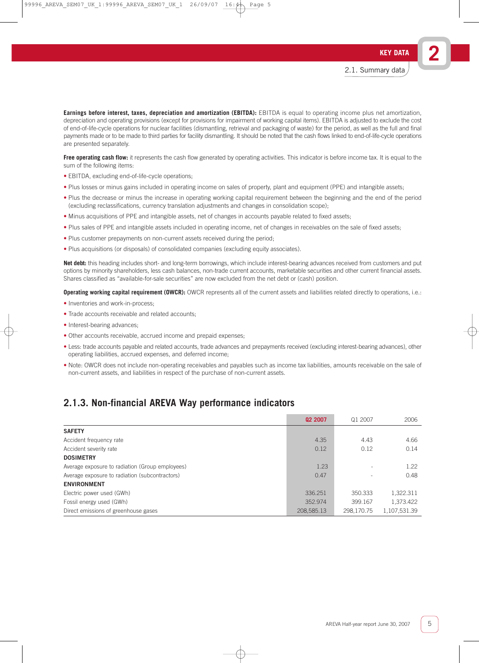**Earnings before interest, taxes, depreciation and amortization (EBITDA):** EBITDA is equal to operating income plus net amortization, depreciation and operating provisions (except for provisions for impairment of working capital items). EBITDA is adjusted to exclude the cost of end-of-life-cycle operations for nuclear facilities (dismantling, retrieval and packaging of waste) for the period, as well as the full and final payments made or to be made to third parties for facility dismantling. It should be noted that the cash flows linked to end-of-life-cycle operations are presented separately.

**Free operating cash flow:** it represents the cash flow generated by operating activities. This indicator is before income tax. It is equal to the sum of the following items:

- EBITDA, excluding end-of-life-cycle operations;
- Plus losses or minus gains included in operating income on sales of property, plant and equipment (PPE) and intangible assets;
- Plus the decrease or minus the increase in operating working capital requirement between the beginning and the end of the period (excluding reclassifications, currency translation adjustments and changes in consolidation scope);
- Minus acquisitions of PPE and intangible assets, net of changes in accounts payable related to fixed assets;
- Plus sales of PPE and intangible assets included in operating income, net of changes in receivables on the sale of fixed assets;
- Plus customer prepayments on non-current assets received during the period;
- Plus acquisitions (or disposals) of consolidated companies (excluding equity associates).

**Net debt:** this heading includes short- and long-term borrowings, which include interest-bearing advances received from customers and put options by minority shareholders, less cash balances, non-trade current accounts, marketable securities and other current financial assets. Shares classified as "available-for-sale securities" are now excluded from the net debt or (cash) position.

**Operating working capital requirement (OWCR):** OWCR represents all of the current assets and liabilities related directly to operations, i.e.:

- Inventories and work-in-process;
- Trade accounts receivable and related accounts;
- Interest-bearing advances;
- Other accounts receivable, accrued income and prepaid expenses;
- Less: trade accounts payable and related accounts, trade advances and prepayments received (excluding interest-bearing advances), other operating liabilities, accrued expenses, and deferred income;
- Note: OWCR does not include non-operating receivables and payables such as income tax liabilities, amounts receivable on the sale of non-current assets, and liabilities in respect of the purchase of non-current assets.

### **2.1.3. Non-financial AREVA Way performance indicators**

|                                                 | 02 2007    | Q1 2007                  | 2006         |
|-------------------------------------------------|------------|--------------------------|--------------|
| <b>SAFETY</b>                                   |            |                          |              |
| Accident frequency rate                         | 4.35       | 4.43                     | 4.66         |
| Accident severity rate                          | 0.12       | 0.12                     | 0.14         |
| <b>DOSIMETRY</b>                                |            |                          |              |
| Average exposure to radiation (Group employees) | 1.23       | $\overline{\phantom{a}}$ | 1.22         |
| Average exposure to radiation (subcontractors)  | 0.47       |                          | 0.48         |
| <b>ENVIRONMENT</b>                              |            |                          |              |
| Electric power used (GWh)                       | 336.251    | 350.333                  | 1,322.311    |
| Fossil energy used (GWh)                        | 352.974    | 399.167                  | 1.373.422    |
| Direct emissions of greenhouse gases            | 208,585.13 | 298.170.75               | 1,107,531.39 |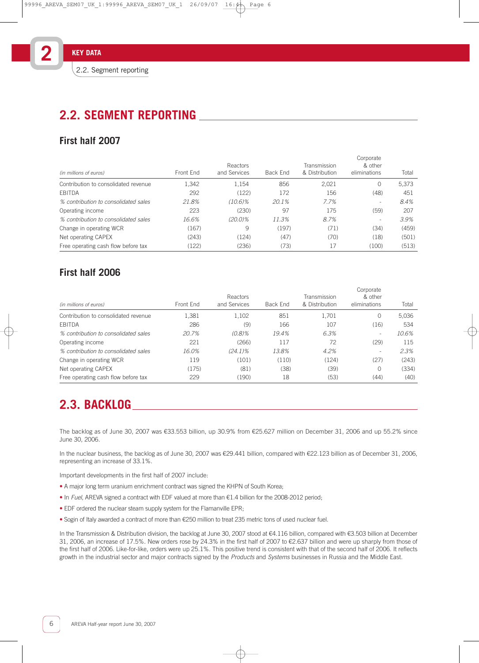# **First half 2007**

| (in millions of euros)               | Front End | Reactors<br>and Services | Back End | Transmission<br>& Distribution | Corporate<br>& other<br>eliminations | Total |
|--------------------------------------|-----------|--------------------------|----------|--------------------------------|--------------------------------------|-------|
| Contribution to consolidated revenue | 1,342     | 1,154                    | 856      | 2,021                          | $\Omega$                             | 5,373 |
| EBITDA                               | 292       | (122)                    | 172      | 156                            | (48)                                 | 451   |
| % contribution to consolidated sales | 21.8%     | $(10.6)\%$               | 20.1%    | 7.7%                           |                                      | 8.4%  |
| Operating income                     | 223       | (230)                    | 97       | 175                            | (59)                                 | 207   |
| % contribution to consolidated sales | 16.6%     | $(20.0)\%$               | 11.3%    | 8.7%                           | ۰                                    | 3.9%  |
| Change in operating WCR              | (167)     | 9                        | (197)    | (71)                           | (34)                                 | (459) |
| Net operating CAPEX                  | (243)     | (124)                    | (47)     | (70)                           | (18)                                 | (501) |
| Free operating cash flow before tax  | (122)     | (236)                    | (73)     | 17                             | (100)                                | (513) |

# **First half 2006**

| (in millions of euros)               | Front End | Reactors<br>and Services | Back End | Transmission<br>& Distribution | Corporate<br>& other<br>eliminations | Total |
|--------------------------------------|-----------|--------------------------|----------|--------------------------------|--------------------------------------|-------|
| Contribution to consolidated revenue | 1,381     | 1,102                    | 851      | 1,701                          | $\Omega$                             | 5,036 |
| EBITDA                               | 286       | (9)                      | 166      | 107                            | (16)                                 | 534   |
| % contribution to consolidated sales | 20.7%     | (0.8%                    | 19.4%    | 6.3%                           |                                      | 10.6% |
| Operating income                     | 221       | (266)                    | 117      | 72                             | (29)                                 | 115   |
| % contribution to consolidated sales | 16.0%     | $(24.1)\%$               | 13.8%    | 4.2%                           | -                                    | 2.3%  |
| Change in operating WCR              | 119       | (101)                    | (110)    | (124)                          | (27)                                 | (243) |
| Net operating CAPEX                  | (175)     | (81)                     | (38)     | (39)                           | $\Omega$                             | (334) |
| Free operating cash flow before tax  | 229       | (190)                    | 18       | (53)                           | (44)                                 | (40)  |

# **2.3. BACKLOG**

The backlog as of June 30, 2007 was €33.553 billion, up 30.9% from €25.627 million on December 31, 2006 and up 55.2% since June 30, 2006.

In the nuclear business, the backlog as of June 30, 2007 was €29.441 billion, compared with €22.123 billion as of December 31, 2006, representing an increase of 33.1%.

Important developments in the first half of 2007 include:

- A major long term uranium enrichment contract was signed the KHPN of South Korea;
- In Fuel, AREVA signed a contract with EDF valued at more than €1.4 billion for the 2008-2012 period;
- EDF ordered the nuclear steam supply system for the Flamanville EPR;
- Sogin of Italy awarded a contract of more than €250 million to treat 235 metric tons of used nuclear fuel.

In the Transmission & Distribution division, the backlog at June 30, 2007 stood at €4.116 billion, compared with €3.503 billion at December 31, 2006, an increase of 17.5%. New orders rose by 24.3% in the first half of 2007 to €2.637 billion and were up sharply from those of the first half of 2006. Like-for-like, orders were up 25.1%. This positive trend is consistent with that of the second half of 2006. It reflects growth in the industrial sector and major contracts signed by the Products and Systems businesses in Russia and the Middle East.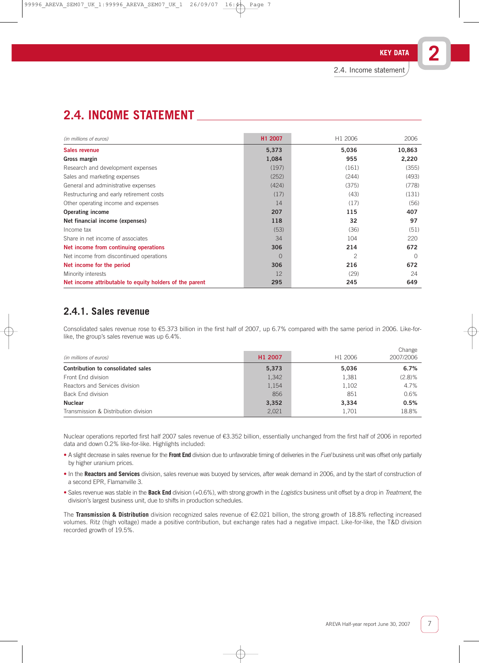| (in millions of euros)                                  | H1 2007  | H <sub>1</sub> 2006 | 2006     |
|---------------------------------------------------------|----------|---------------------|----------|
| Sales revenue                                           | 5,373    | 5,036               | 10,863   |
| Gross margin                                            | 1,084    | 955                 | 2,220    |
| Research and development expenses                       | (197)    | (161)               | (355)    |
| Sales and marketing expenses                            | (252)    | (244)               | (493)    |
| General and administrative expenses                     | (424)    | (375)               | (778)    |
| Restructuring and early retirement costs                | (17)     | (43)                | (131)    |
| Other operating income and expenses                     | 14       | (17)                | (56)     |
| <b>Operating income</b>                                 | 207      | 115                 | 407      |
| Net financial income (expenses)                         | 118      | 32                  | 97       |
| Income tax                                              | (53)     | (36)                | (51)     |
| Share in net income of associates                       | 34       | 104                 | 220      |
| Net income from continuing operations                   | 306      | 214                 | 672      |
| Net income from discontinued operations                 | $\Omega$ | 2                   | $\Omega$ |
| Net income for the period                               | 306      | 216                 | 672      |
| Minority interests                                      | 12       | (29)                | 24       |
| Net income attributable to equity holders of the parent | 295      | 245                 | 649      |

# **2.4.1. Sales revenue**

Consolidated sales revenue rose to €5.373 billion in the first half of 2007, up 6.7% compared with the same period in 2006. Like-forlike, the group's sales revenue was up 6.4%.

| (in millions of euros)               | H1 2007 | H <sub>1</sub> 2006 | Change<br>2007/2006 |
|--------------------------------------|---------|---------------------|---------------------|
| Contribution to consolidated sales   | 5,373   | 5,036               | 6.7%                |
| Front End division                   | 1,342   | 1,381               | $(2.8)$ %           |
| Reactors and Services division       | 1,154   | 1,102               | 4.7%                |
| Back End division                    | 856     | 851                 | 0.6%                |
| <b>Nuclear</b>                       | 3,352   | 3,334               | 0.5%                |
| Transmission & Distribution division | 2,021   | 1.701               | 18.8%               |

Nuclear operations reported first half 2007 sales revenue of €3.352 billion, essentially unchanged from the first half of 2006 in reported data and down 0.2% like-for-like. Highlights included:

- A slight decrease in sales revenue for the Front End division due to unfavorable timing of deliveries in the Fuel business unit was offset only partially by higher uranium prices.
- In the **Reactors and Services** division, sales revenue was buoyed by services, after weak demand in 2006, and by the start of construction of a second EPR, Flamanville 3.
- Sales revenue was stable in the **Back End** division (+0.6%), with strong growth in the *Logistics* business unit offset by a drop in *Treatment*, the division's largest business unit, due to shifts in production schedules.

The **Transmission & Distribution** division recognized sales revenue of €2.021 billion, the strong growth of 18.8% reflecting increased volumes. Ritz (high voltage) made a positive contribution, but exchange rates had a negative impact. Like-for-like, the T&D division recorded growth of 19.5%.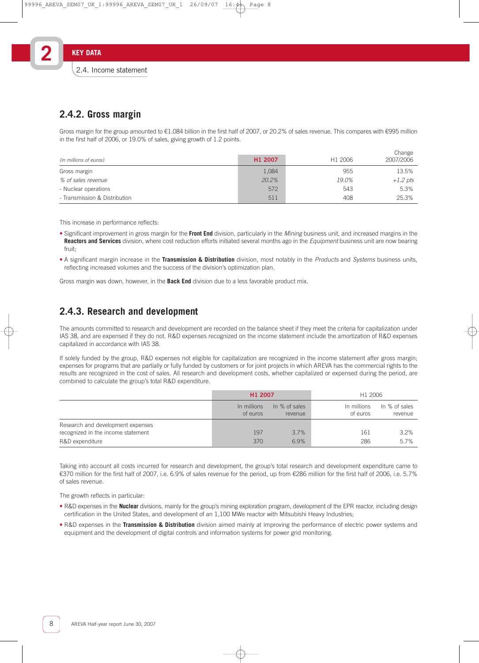# **2.4.2. Gross margin**

Gross margin for the group amounted to €1.084 billion in the first half of 2007, or 20.2% of sales revenue. This compares with €995 million in the first half of 2006, or 19.0% of sales, giving growth of 1.2 points.

 $\sim$ 

| (in millions of euros)        | H1 2007 | H <sub>1</sub> 2006 | <b>UILDITIE</b><br>2007/2006 |
|-------------------------------|---------|---------------------|------------------------------|
| Gross margin                  | 1,084   | 955                 | 13.5%                        |
| % of sales revenue            | 20.2%   | 19.0%               | $+1.2$ pts                   |
| - Nuclear operations          | 572     | 543                 | 5.3%                         |
| - Transmission & Distribution | 511     | 408                 | 25.3%                        |

This increase in performance reflects:

- Significant improvement in gross margin for the **Front End** division, particularly in the Mining business unit, and increased margins in the Reactors and Services division, where cost reduction efforts initiated several months ago in the Equipment business unit are now bearing fruit;
- A significant margin increase in the **Transmission & Distribution** division, most notably in the Products and Systems business units, reflecting increased volumes and the success of the division's optimization plan.

Gross margin was down, however, in the **Back End** division due to a less favorable product mix.

## **2.4.3. Research and development**

The amounts committed to research and development are recorded on the balance sheet if they meet the criteria for capitalization under IAS 38, and are expensed if they do not. R&D expenses recognized on the income statement include the amortization of R&D expenses capitalized in accordance with IAS 38.

If solely funded by the group, R&D expenses not eligible for capitalization are recognized in the income statement after gross margin; expenses for programs that are partially or fully funded by customers or for joint projects in which AREVA has the commercial rights to the results are recognized in the cost of sales. All research and development costs, whether capitalized or expensed during the period, are combined to calculate the group's total R&D expenditure.

|                                                                         | H <sub>1</sub> 2007     |                          | H1 2006                 |                          |
|-------------------------------------------------------------------------|-------------------------|--------------------------|-------------------------|--------------------------|
|                                                                         | In millions<br>of euros | In % of sales<br>revenue | In millions<br>of euros | In % of sales<br>revenue |
| Research and development expenses<br>recognized in the income statement | 197                     | 3.7%                     | 161                     | $3.2\%$                  |
| R&D expenditure                                                         | 370                     | 6.9%                     | 286                     | 5.7%                     |

Taking into account all costs incurred for research and development, the group's total research and development expenditure came to €370 million for the first half of 2007, i.e. 6.9% of sales revenue for the period, up from €286 million for the first half of 2006, i.e. 5.7% of sales revenue.

The growth reflects in particular:

- R&D expenses in the **Nuclear** divisions, mainly for the group's mining exploration program, development of the EPR reactor, including design certification in the United States, and development of an 1,100 MWe reactor with Mitsubishi Heavy Industries;
- R&D expenses in the **Transmission & Distribution** division aimed mainly at improving the performance of electric power systems and equipment and the development of digital controls and information systems for power grid monitoring.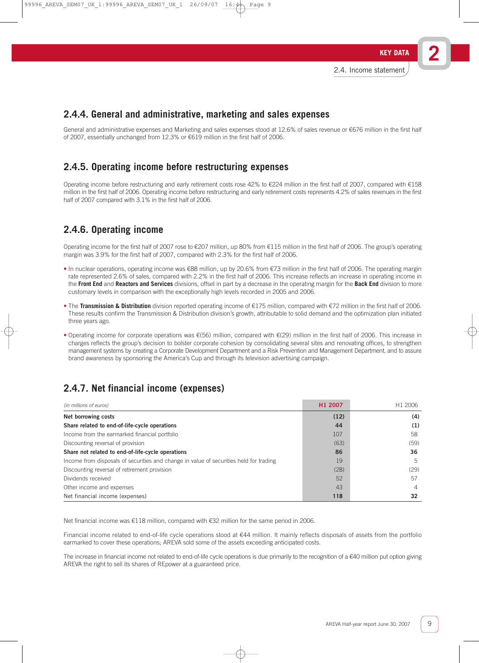# **2.4.4. General and administrative, marketing and sales expenses**

General and administrative expenses and Marketing and sales expenses stood at 12.6% of sales revenue or €676 million in the first half of 2007, essentially unchanged from 12.3% or €619 million in the first half of 2006.

# **2.4.5. Operating income before restructuring expenses**

Operating income before restructuring and early retirement costs rose 42% to €224 million in the first half of 2007, compared with €158 million in the first half of 2006. Operating income before restructuring and early retirement costs represents 4.2% of sales revenues in the first half of 2007 compared with 3.1% in the first half of 2006.

# **2.4.6. Operating income**

Operating income for the first half of 2007 rose to €207 million, up 80% from €115 million in the first half of 2006. The group's operating margin was 3.9% for the first half of 2007, compared with 2.3% for the first half of 2006.

- In nuclear operations, operating income was €88 million, up by 20.6% from €73 million in the first half of 2006. The operating margin rate represented 2.6% of sales, compared with 2.2% in the first half of 2006. This increase reflects an increase in operating income in the **Front End** and **Reactors and Services** divisions, offset in part by a decrease in the operating margin for the **Back End** division to more customary levels in comparison with the exceptionally high levels recorded in 2005 and 2006.
- The **Transmission & Distribution** division reported operating income of €175 million, compared with €72 million in the first half of 2006. These results confirm the Transmission & Distribution division's growth, attributable to solid demand and the optimization plan initiated three years ago.
- Operating income for corporate operations was €(56) million, compared with €(29) million in the first half of 2006. This increase in charges reflects the group's decision to bolster corporate cohesion by consolidating several sites and renovating offices, to strengthen management systems by creating a Corporate Development Department and a Risk Prevention and Management Department, and to assure brand awareness by sponsoring the America's Cup and through its television advertising campaign.

# **2.4.7. Net financial income (expenses)**

| (in millions of euros)                                                                 | H1 2007 | H <sub>1</sub> 2006 |
|----------------------------------------------------------------------------------------|---------|---------------------|
| Net borrowing costs                                                                    | (12)    | (4)                 |
| Share related to end-of-life-cycle operations                                          | 44      | (1)                 |
| Income from the earmarked financial portfolio                                          | 107     | 58                  |
| Discounting reversal of provision                                                      | (63)    | (59)                |
| Share not related to end-of-life-cycle operations                                      | 86      | 36                  |
| Income from disposals of securities and change in value of securities held for trading | 19      | 5                   |
| Discounting reversal of retirement provision                                           | (28)    | (29)                |
| Dividends received                                                                     | 52      | 57                  |
| Other income and expenses                                                              | 43      | 4                   |
| Net financial income (expenses)                                                        | 118     | 32                  |

Net financial income was €118 million, compared with €32 million for the same period in 2006.

Financial income related to end-of-life cycle operations stood at €44 million. It mainly reflects disposals of assets from the portfolio earmarked to cover these operations; AREVA sold some of the assets exceeding anticipated costs.

The increase in financial income not related to end-of-life cycle operations is due primarily to the recognition of a  $\epsilon$ 40 million put option giving AREVA the right to sell its shares of REpower at a guaranteed price.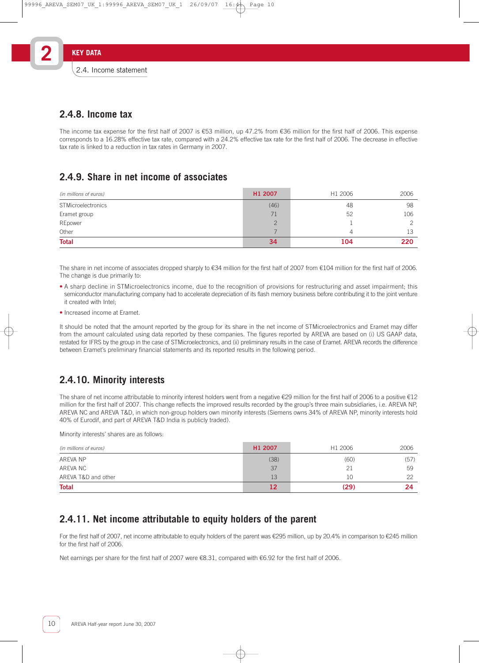## **2.4.8. Income tax**

The income tax expense for the first half of 2007 is €53 million, up 47.2% from €36 million for the first half of 2006. This expense corresponds to a 16.28% effective tax rate, compared with a 24.2% effective tax rate for the first half of 2006. The decrease in effective tax rate is linked to a reduction in tax rates in Germany in 2007.

# **2.4.9. Share in net income of associates**

| (in millions of euros)    | H <sub>1</sub> 2007 | H1 2006 | 2006 |
|---------------------------|---------------------|---------|------|
| <b>STMicroelectronics</b> | (46)                | 48      | 98   |
| Eramet group              | 71                  | 52      | 106  |
| REpower                   |                     |         |      |
| Other                     |                     | 4       | 13   |
| <b>Total</b>              | 34                  | 104     | 220  |

The share in net income of associates dropped sharply to €34 million for the first half of 2007 from €104 million for the first half of 2006. The change is due primarily to:

- A sharp decline in STMicroelectronics income, due to the recognition of provisions for restructuring and asset impairment; this semiconductor manufacturing company had to accelerate depreciation of its flash memory business before contributing it to the joint venture it created with Intel;
- Increased income at Eramet.

It should be noted that the amount reported by the group for its share in the net income of STMicroelectronics and Eramet may differ from the amount calculated using data reported by these companies. The figures reported by AREVA are based on (i) US GAAP data, restated for IFRS by the group in the case of STMicroelectronics, and (ii) preliminary results in the case of Eramet. AREVA records the difference between Eramet's preliminary financial statements and its reported results in the following period.

# **2.4.10. Minority interests**

The share of net income attributable to minority interest holders went from a negative €29 million for the first half of 2006 to a positive €12 million for the first half of 2007. This change reflects the improved results recorded by the group's three main subsidiaries, i.e. AREVA NP, AREVA NC and AREVA T&D, in which non-group holders own minority interests (Siemens owns 34% of AREVA NP, minority interests hold 40% of Eurodif, and part of AREVA T&D India is publicly traded).

Minority interests' shares are as follows:

| (in millions of euros) | H1 2007 | H1 2006 | 2006 |
|------------------------|---------|---------|------|
| AREVA NP               | (38)    | (60)    | (57) |
| AREVA NC               | 37      |         | 59   |
| AREVA T&D and other    | 13      | 10      | 22   |
| <b>Total</b>           |         | (29)    | 24.  |

# **2.4.11. Net income attributable to equity holders of the parent**

For the first half of 2007, net income attributable to equity holders of the parent was €295 million, up by 20.4% in comparison to €245 million for the first half of 2006.

Net earnings per share for the first half of 2007 were €8.31, compared with €6.92 for the first half of 2006.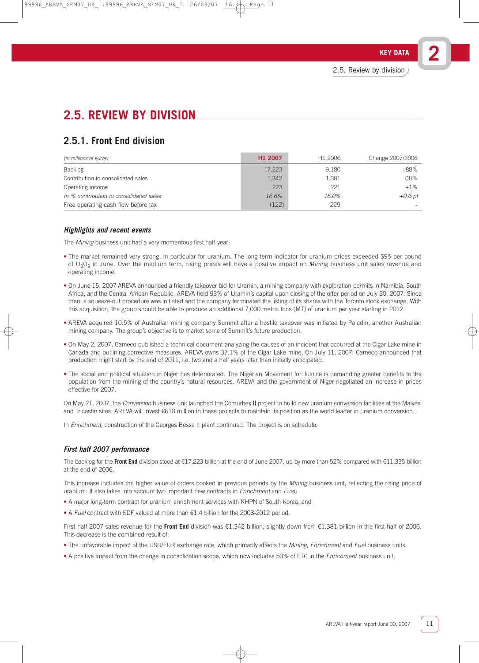**2**

# **2.5. REVIEW BY DIVISION**

# **2.5.1. Front End division**

| (in millions of euros)                  | H <sub>1</sub> 2007 | H <sub>1</sub> 2006 | Change 2007/2006 |
|-----------------------------------------|---------------------|---------------------|------------------|
| Backlog                                 | 17,223              | 9,180               | $+88%$           |
| Contribution to consolidated sales      | 1,342               | 1,381               | $(3)\%$          |
| Operating income                        | 223                 | 221                 | $+1\%$           |
| In % contribution to consolidated sales | 16.6%               | 16.0%               | +0.6 pt          |
| Free operating cash flow before tax     | (122)               | 229                 |                  |

### **Highlights and recent events**

The Mining business unit had a very momentous first half-year:

- The market remained very strong, in particular for uranium. The long-term indicator for uranium prices exceeded \$95 per pound of U<sub>3</sub>O<sub>8</sub> in June. Over the medium term, rising prices will have a positive impact on *Mining* business unit sales revenue and operating income.
- On June 15, 2007 AREVA announced a friendly takeover bid for Uramin, a mining company with exploration permits in Namibia, South Africa, and the Central African Republic. AREVA held 93% of Uramin's capital upon closing of the offer period on July 30, 2007. Since then, a squeeze-out procedure was initiated and the company terminated the listing of its shares with the Toronto stock exchange. With this acquisition, the group should be able to produce an additional 7,000 metric tons (MT) of uranium per year starting in 2012.
- AREVA acquired 10.5% of Australian mining company Summit after a hostile takeover was initiated by Paladin, another Australian mining company. The group's objective is to market some of Summit's future production.
- On May 2, 2007, Cameco published a technical document analyzing the causes of an incident that occurred at the Cigar Lake mine in Canada and outlining corrective measures. AREVA owns 37.1% of the Cigar Lake mine. On July 11, 2007, Cameco announced that production might start by the end of 2011, i.e. two and a half years later than initially anticipated.
- The social and political situation in Niger has deteriorated. The Nigerian Movement for Justice is demanding greater benefits to the population from the mining of the country's natural resources. AREVA and the government of Niger negotiated an increase in prices effective for 2007.

On May 21, 2007, the Conversion business unit launched the Comurhex II project to build new uranium conversion facilities at the Malvési and Tricastin sites. AREVA will invest €610 million in these projects to maintain its position as the world leader in uranium conversion.

In *Enrichment*, construction of the Georges Besse II plant continued. The project is on schedule.

### **First half 2007 performance**

The backlog for the **Front End** division stood at €17.223 billion at the end of June 2007, up by more than 52% compared with €11.335 billion at the end of 2006.

This increase includes the higher value of orders booked in previous periods by the Mining business unit, reflecting the rising price of uranium. It also takes into account two important new contracts in *Enrichment* and *Fuel*:

- A major long-term contract for uranium enrichment services with KHPN of South Korea, and
- A Fuel contract with EDF valued at more than €1.4 billion for the 2008-2012 period.

First half 2007 sales revenue for the **Front End** division was €1.342 billion, slightly down from €1.381 billion in the first half of 2006. This decrease is the combined result of:

- The unfavorable impact of the USD/EUR exchange rate, which primarily affects the *Mining, Enrichment* and *Fuel* business units;
- A positive impact from the change in consolidation scope, which now includes 50% of ETC in the *Enrichment* business unit;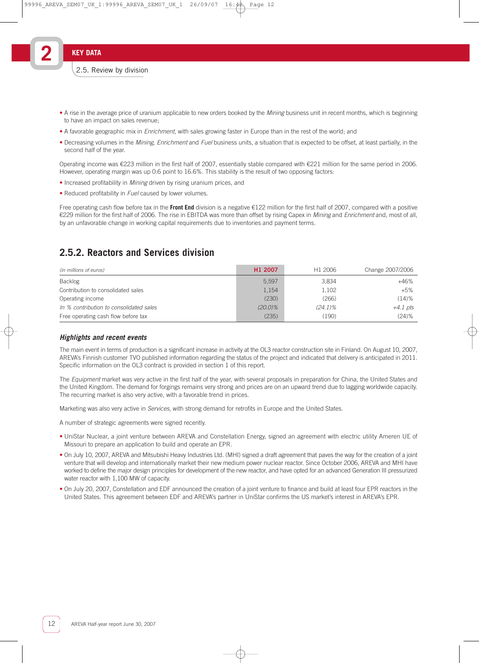- A rise in the average price of uranium applicable to new orders booked by the *Mining* business unit in recent months, which is beginning to have an impact on sales revenue;
- A favorable geographic mix in Enrichment, with sales growing faster in Europe than in the rest of the world; and
- Decreasing volumes in the Mining, Enrichment and Fuel business units, a situation that is expected to be offset, at least partially, in the second half of the year.

Operating income was €223 million in the first half of 2007, essentially stable compared with €221 million for the same period in 2006. However, operating margin was up 0.6 point to 16.6%. This stability is the result of two opposing factors:

- Increased profitability in *Mining* driven by rising uranium prices, and
- Reduced profitability in Fuel caused by lower volumes.

Free operating cash flow before tax in the **Front End** division is a negative €122 million for the first half of 2007, compared with a positive €229 million for the first half of 2006. The rise in EBITDA was more than offset by rising Capex in Mining and Enrichment and, most of all, by an unfavorable change in working capital requirements due to inventories and payment terms.

# **2.5.2. Reactors and Services division**

| (in millions of euros)                  | H <sub>1</sub> 2007 | H <sub>1</sub> 2006 | Change 2007/2006 |
|-----------------------------------------|---------------------|---------------------|------------------|
| Backlog                                 | 5.597               | 3.834               | $+46%$           |
| Contribution to consolidated sales      | 1,154               | 1.102               | $+5%$            |
| Operating income                        | (230)               | (266)               | $(14)$ %         |
| In % contribution to consolidated sales | $(20.0)\%$          | $(24.1)\%$          | $+4.1$ pts       |
| Free operating cash flow before tax     | (235)               | (190)               | $(24)$ %         |

### **Highlights and recent events**

The main event in terms of production is a significant increase in activity at the OL3 reactor construction site in Finland. On August 10, 2007, AREVA's Finnish customer TVO published information regarding the status of the project and indicated that delivery is anticipated in 2011. Specific information on the OL3 contract is provided in section 1 of this report.

The Equipment market was very active in the first half of the year, with several proposals in preparation for China, the United States and the United Kingdom. The demand for forgings remains very strong and prices are on an upward trend due to lagging worldwide capacity. The recurring market is also very active, with a favorable trend in prices.

Marketing was also very active in Services, with strong demand for retrofits in Europe and the United States.

A number of strategic agreements were signed recently.

- UniStar Nuclear, a joint venture between AREVA and Constellation Energy, signed an agreement with electric utility Ameren UE of Missouri to prepare an application to build and operate an EPR.
- On July 10, 2007, AREVA and Mitsubishi Heavy Industries Ltd. (MHI) signed a draft agreement that paves the way for the creation of a joint venture that will develop and internationally market their new medium power nuclear reactor. Since October 2006, AREVA and MHI have worked to define the major design principles for development of the new reactor, and have opted for an advanced Generation III pressurized water reactor with 1,100 MW of capacity.
- On July 20, 2007, Constellation and EDF announced the creation of a joint venture to finance and build at least four EPR reactors in the United States. This agreement between EDF and AREVA's partner in UniStar confirms the US market's interest in AREVA's EPR.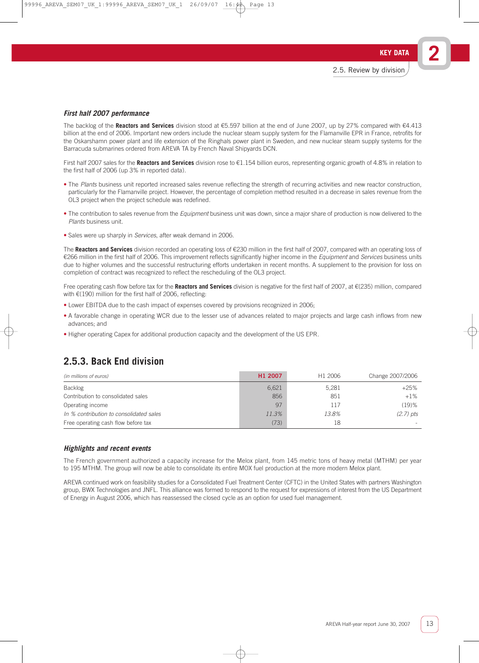### **First half 2007 performance**

The backlog of the **Reactors and Services** division stood at €5.597 billion at the end of June 2007, up by 27% compared with €4.413 billion at the end of 2006. Important new orders include the nuclear steam supply system for the Flamanville EPR in France, retrofits for the Oskarshamn power plant and life extension of the Ringhals power plant in Sweden, and new nuclear steam supply systems for the Barracuda submarines ordered from AREVA TA by French Naval Shipyards DCN.

First half 2007 sales for the **Reactors and Services** division rose to €1.154 billion euros, representing organic growth of 4.8% in relation to the first half of 2006 (up 3% in reported data).

- The Plants business unit reported increased sales revenue reflecting the strength of recurring activities and new reactor construction, particularly for the Flamanville project. However, the percentage of completion method resulted in a decrease in sales revenue from the OL3 project when the project schedule was redefined.
- The contribution to sales revenue from the *Equipment* business unit was down, since a major share of production is now delivered to the Plants business unit.
- Sales were up sharply in Services, after weak demand in 2006.

The **Reactors and Services** division recorded an operating loss of €230 million in the first half of 2007, compared with an operating loss of €266 million in the first half of 2006. This improvement reflects significantly higher income in the Equipment and Services business units due to higher volumes and the successful restructuring efforts undertaken in recent months. A supplement to the provision for loss on completion of contract was recognized to reflect the rescheduling of the OL3 project.

Free operating cash flow before tax for the **Reactors and Services** division is negative for the first half of 2007, at €(235) million, compared with €(190) million for the first half of 2006, reflecting:

- Lower EBITDA due to the cash impact of expenses covered by provisions recognized in 2006;
- A favorable change in operating WCR due to the lesser use of advances related to major projects and large cash inflows from new advances; and
- Higher operating Capex for additional production capacity and the development of the US EPR.

## **2.5.3. Back End division**

| (in millions of euros)                  | H1 2007 | H <sub>1</sub> 2006 | Change 2007/2006 |
|-----------------------------------------|---------|---------------------|------------------|
| Backlog                                 | 6,621   | 5.281               | $+25%$           |
| Contribution to consolidated sales      | 856     | 851                 | $+1\%$           |
| Operating income                        | 97      | 117                 | $(19)$ %         |
| In % contribution to consolidated sales | 11.3%   | 13.8%               | $(2.7)$ pts      |
| Free operating cash flow before tax     | (73)    | 18                  |                  |

#### **Highlights and recent events**

The French government authorized a capacity increase for the Melox plant, from 145 metric tons of heavy metal (MTHM) per year to 195 MTHM. The group will now be able to consolidate its entire MOX fuel production at the more modern Melox plant.

AREVA continued work on feasibility studies for a Consolidated Fuel Treatment Center (CFTC) in the United States with partners Washington group, BWX Technologies and JNFL. This alliance was formed to respond to the request for expressions of interest from the US Department of Energy in August 2006, which has reassessed the closed cycle as an option for used fuel management.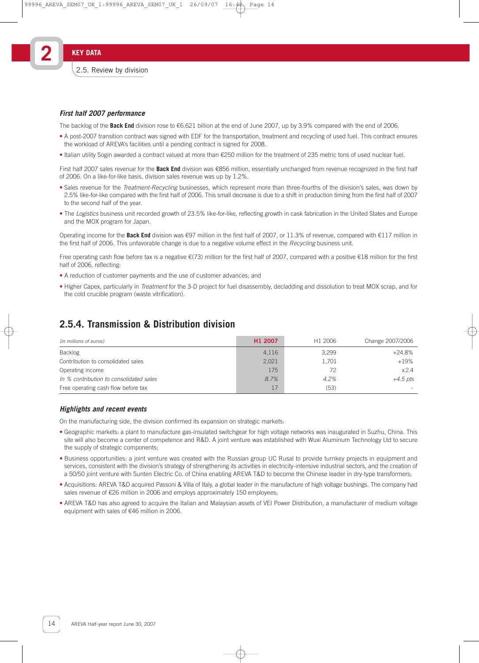### **First half 2007 performance**

The backlog of the **Back End** division rose to €6.621 billion at the end of June 2007, up by 3.9% compared with the end of 2006.

- A post-2007 transition contract was signed with EDF for the transportation, treatment and recycling of used fuel. This contract ensures the workload of AREVA's facilities until a pending contract is signed for 2008.
- Italian utility Sogin awarded a contract valued at more than €250 million for the treatment of 235 metric tons of used nuclear fuel.

First half 2007 sales revenue for the **Back End** division was €856 million, essentially unchanged from revenue recognized in the first half of 2006. On a like-for-like basis, division sales revenue was up by 1.2%.

- Sales revenue for the Treatment-Recycling businesses, which represent more than three-fourths of the division's sales, was down by 2.5% like-for-like compared with the first half of 2006. This small decrease is due to a shift in production timing from the first half of 2007 to the second half of the year.
- The Logistics business unit recorded growth of 23.5% like-for-like, reflecting growth in cask fabrication in the United States and Europe and the MOX program for Japan.

Operating income for the **Back End** division was €97 million in the first half of 2007, or 11.3% of revenue, compared with €117 million in the first half of 2006. This unfavorable change is due to a negative volume effect in the Recycling business unit.

Free operating cash flow before tax is a negative €(73) million for the first half of 2007, compared with a positive €18 million for the first half of 2006, reflecting:

- A reduction of customer payments and the use of customer advances; and
- Higher Capex, particularly in *Treatment* for the 3-D project for fuel disassembly, decladding and dissolution to treat MOX scrap, and for the cold crucible program (waste vitrification).

### **2.5.4. Transmission & Distribution division**

| (in millions of euros)                  | H1 2007 | H1 2006 | Change 2007/2006 |
|-----------------------------------------|---------|---------|------------------|
| <b>Backlog</b>                          | 4,116   | 3,299   | $+24.8%$         |
| Contribution to consolidated sales      | 2,021   | 1,701   | $+19%$           |
| Operating income                        | 175     | 72      | $x$ 24           |
| In % contribution to consolidated sales | 8.7%    | 4.2%    | $+4.5$ pts       |
| Free operating cash flow before tax     |         | (53)    |                  |

### **Highlights and recent events**

On the manufacturing side, the division confirmed its expansion on strategic markets:

- Geographic markets: a plant to manufacture gas-insulated switchgear for high voltage networks was inaugurated in Suzhu, China. This site will also become a center of competence and R&D. A joint venture was established with Wuxi Aluminum Technology Ltd to secure the supply of strategic components;
- Business opportunities: a joint venture was created with the Russian group UC Rusal to provide turnkey projects in equipment and services, consistent with the division's strategy of strengthening its activities in electricity-intensive industrial sectors, and the creation of a 50/50 joint venture with Sunten Electric Co. of China enabling AREVA T&D to become the Chinese leader in dry-type transformers;
- Acquisitions: AREVA T&D acquired Passoni & Villa of Italy, a global leader in the manufacture of high voltage bushings. The company had sales revenue of €26 million in 2006 and employs approximately 150 employees;
- AREVA T&D has also agreed to acquire the Italian and Malaysian assets of VEI Power Distribution, a manufacturer of medium voltage equipment with sales of €46 million in 2006.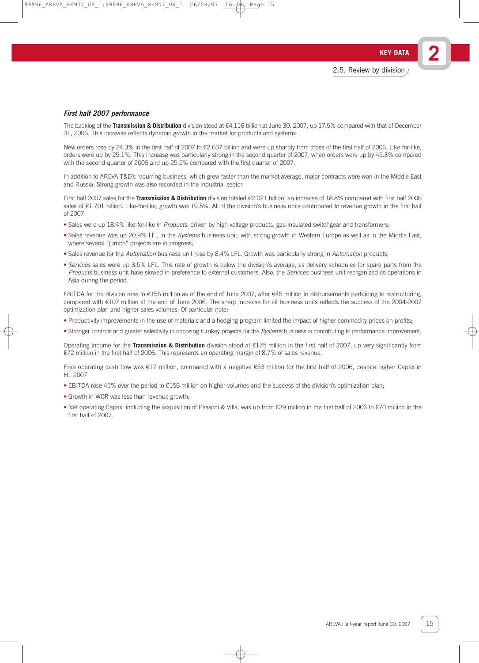**2**

### **First half 2007 performance**

The backlog of the **Transmission & Distribution** division stood at €4.116 billion at June 30, 2007, up 17.5% compared with that of December 31, 2006. This increase reflects dynamic growth in the market for products and systems.

New orders rose by 24.3% in the first half of 2007 to €2.637 billion and were up sharply from those of the first half of 2006. Like-for-like, orders were up by 25.1%. This increase was particularly strong in the second quarter of 2007, when orders were up by 45.3% compared with the second quarter of 2006 and up 25.5% compared with the first quarter of 2007.

In addition to AREVA T&D's recurring business, which grew faster than the market average, major contracts were won in the Middle East and Russia. Strong growth was also recorded in the industrial sector.

First half 2007 sales for the **Transmission & Distribution** division totaled €2.021 billion, an increase of 18.8% compared with first half 2006 sales of €1.701 billion. Like-for-like, growth was 19.5%. All of the division's business units contributed to revenue growth in the first half of 2007:

- Sales were up 18.4% like-for-like in Products, driven by high voltage products, gas-insulated switchgear and transformers;
- Sales revenue was up 20.9% LFL in the Systems business unit, with strong growth in Western Europe as well as in the Middle East, where several "jumbo" projects are in progress;
- Sales revenue for the Automation business unit rose by 8.4% LFL. Growth was particularly strong in Automation products;
- Services sales were up 3.5% LFL. This rate of growth is below the division's average, as delivery schedules for spare parts from the Products business unit have slowed in preference to external customers. Also, the Services business unit reorganized its operations in Asia during the period.

EBITDA for the division rose to €156 million as of the end of June 2007, after €45 million in disbursements pertaining to restructuring, compared with €107 million at the end of June 2006. The sharp increase for all business units reflects the success of the 2004-2007 optimization plan and higher sales volumes. Of particular note:

- Productivity improvements in the use of materials and a hedging program limited the impact of higher commodity prices on profits;
- Stronger controls and greater selectivity in choosing turnkey projects for the Systems business is contributing to performance improvement.

Operating income for the **Transmission & Distribution** division stood at €175 million in the first half of 2007, up very significantly from €72 million in the first half of 2006. This represents an operating margin of 8.7% of sales revenue.

Free operating cash flow was €17 million, compared with a negative €53 million for the first half of 2006, despite higher Capex in H1 2007:

- EBITDA rose 45% over the period to €156 million on higher volumes and the success of the division's optimization plan;
- Growth in WCR was less than revenue growth;
- Net operating Capex, including the acquisition of Passoni & Villa, was up from €39 million in the first half of 2006 to €70 million in the first half of 2007.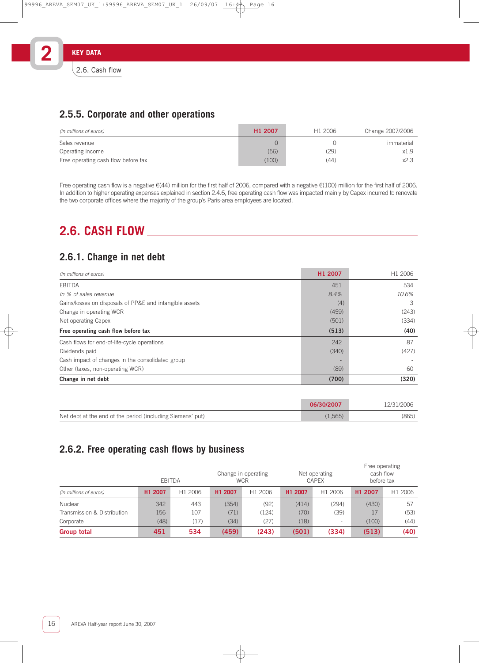# **2.5.5. Corporate and other operations**

| (in millions of euros)              | H <sub>1</sub> 2007 | H1 2006 | Change 2007/2006 |
|-------------------------------------|---------------------|---------|------------------|
| Sales revenue                       |                     |         | immaterial       |
| Operating income                    | (56)                | (29)    | x1.9             |
| Free operating cash flow before tax | (100)               | (44)    | x2.3             |

Free operating cash flow is a negative €(44) million for the first half of 2006, compared with a negative €(100) million for the first half of 2006. In addition to higher operating expenses explained in section 2.4.6, free operating cash flow was impacted mainly by Capex incurred to renovate the two corporate offices where the majority of the group's Paris-area employees are located.

# **2.6. CASH FLOW**

# **2.6.1. Change in net debt**

| (in millions of euros)                                  | H1 2007 | H1 2006 |
|---------------------------------------------------------|---------|---------|
| EBITDA                                                  | 451     | 534     |
| In % of sales revenue                                   | 8.4%    | 10.6%   |
| Gains/losses on disposals of PP&E and intangible assets | (4)     | З       |
| Change in operating WCR                                 | (459)   | (243)   |
| Net operating Capex                                     | (501)   | (334)   |
| Free operating cash flow before tax                     | (513)   | (40)    |
| Cash flows for end-of-life-cycle operations             | 242     | 87      |
| Dividends paid                                          | (340)   | (427)   |
| Cash impact of changes in the consolidated group        |         |         |
| Other (taxes, non-operating WCR)                        | (89)    | 60      |
| Change in net debt                                      | (700)   | (320)   |

|                                                            | 06/30/2007 | 12/31/2006 |
|------------------------------------------------------------|------------|------------|
| Net debt at the end of the period (including Siemens' put) | (1.565)    | (865)      |

# **2.6.2. Free operating cash flows by business**

|                             | EBITDA              |         | <b>WCR</b> | Change in operating |         | Net operating<br><b>CAPEX</b> | Free operating<br>cash flow<br>before tax |         |
|-----------------------------|---------------------|---------|------------|---------------------|---------|-------------------------------|-------------------------------------------|---------|
| (in millions of euros)      | H <sub>1</sub> 2007 | H1 2006 | H1 2007    | H1 2006             | H1 2007 | H1 2006                       | H1 2007                                   | H1 2006 |
| Nuclear                     | 342                 | 443     | (354)      | (92)                | (414)   | (294)                         | (430)                                     | 57      |
| Transmission & Distribution | 156                 | 107     | (71)       | (124)               | (70)    | (39)                          | 17                                        | (53)    |
| Corporate                   | (48)                | (17)    | (34)       | (27)                | (18)    |                               | (100)                                     | (44)    |
| <b>Group total</b>          | 451                 | 534     | (459)      | (243)               | (501)   | (334)                         | (513)                                     | (40)    |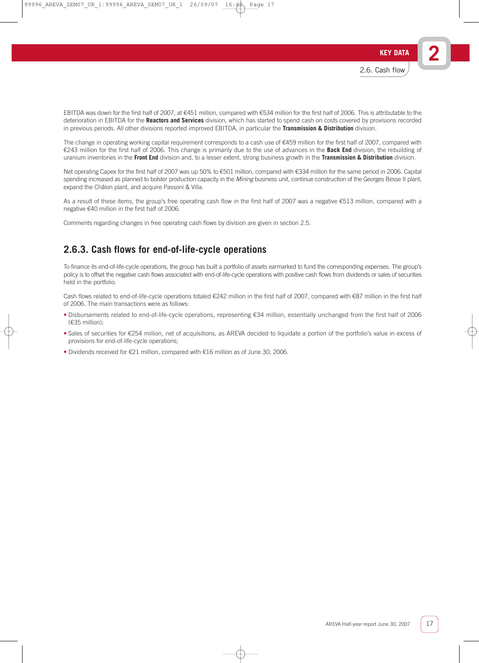EBITDA was down for the first half of 2007, at €451 million, compared with €534 million for the first half of 2006. This is attributable to the deterioration in EBITDA for the **Reactors and Services** division, which has started to spend cash on costs covered by provisions recorded in previous periods. All other divisions reported improved EBITDA, in particular the **Transmission & Distribution** division.

The change in operating working capital requirement corresponds to a cash use of €459 million for the first half of 2007, compared with €243 million for the first half of 2006. This change is primarily due to the use of advances in the **Back End** division, the rebuilding of uranium inventories in the **Front End** division and, to a lesser extent, strong business growth in the **Transmission & Distribution** division.

Net operating Capex for the first half of 2007 was up 50% to €501 million, compared with €334 million for the same period in 2006. Capital spending increased as planned to bolster production capacity in the Mining business unit, continue construction of the Georges Besse II plant, expand the Châlon plant, and acquire Passoni & Villa.

As a result of these items, the group's free operating cash flow in the first half of 2007 was a negative €513 million, compared with a negative €40 million in the first half of 2006.

Comments regarding changes in free operating cash flows by division are given in section 2.5.

## **2.6.3. Cash flows for end-of-life-cycle operations**

To finance its end-of-life-cycle operations, the group has built a portfolio of assets earmarked to fund the corresponding expenses. The group's policy is to offset the negative cash flows associated with end-of-life-cycle operations with positive cash flows from dividends or sales of securities held in the portfolio.

Cash flows related to end-of-life-cycle operations totaled €242 million in the first half of 2007, compared with €87 million in the first half of 2006. The main transactions were as follows:

- Disbursements related to end-of-life-cycle operations, representing €34 million, essentially unchanged from the first half of 2006 (€35 million);
- Sales of securities for €254 million, net of acquisitions, as AREVA decided to liquidate a portion of the portfolio's value in excess of provisions for end-of-life-cycle operations;
- Dividends received for €21 million, compared with €16 million as of June 30, 2006.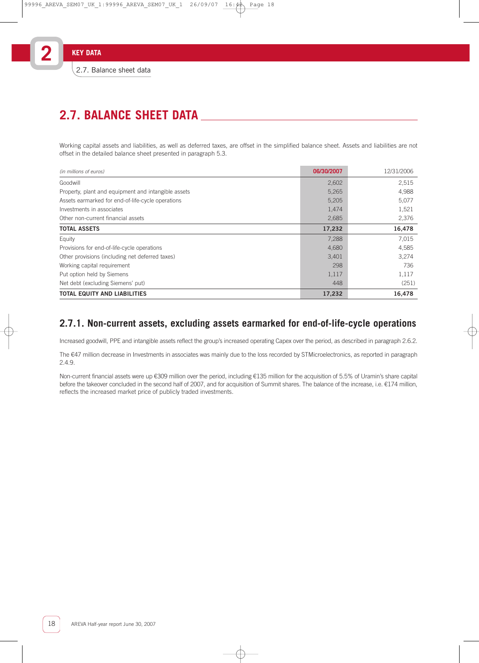# **2.7. BALANCE SHEET DATA**

Working capital assets and liabilities, as well as deferred taxes, are offset in the simplified balance sheet. Assets and liabilities are not offset in the detailed balance sheet presented in paragraph 5.3.

| (in millions of euros)                              | 06/30/2007 | 12/31/2006 |
|-----------------------------------------------------|------------|------------|
| Goodwill                                            | 2,602      | 2,515      |
| Property, plant and equipment and intangible assets | 5,265      | 4,988      |
| Assets earmarked for end-of-life-cycle operations   | 5,205      | 5,077      |
| Investments in associates                           | 1,474      | 1,521      |
| Other non-current financial assets                  | 2,685      | 2,376      |
| <b>TOTAL ASSETS</b>                                 | 17,232     | 16,478     |
| Equity                                              | 7,288      | 7.015      |
| Provisions for end-of-life-cycle operations         | 4,680      | 4,585      |
| Other provisions (including net deferred taxes)     | 3,401      | 3,274      |
| Working capital requirement                         | 298        | 736        |
| Put option held by Siemens                          | 1,117      | 1,117      |
| Net debt (excluding Siemens' put)                   | 448        | (251)      |
| <b>TOTAL EQUITY AND LIABILITIES</b>                 | 17,232     | 16,478     |

# **2.7.1. Non-current assets, excluding assets earmarked for end-of-life-cycle operations**

Increased goodwill, PPE and intangible assets reflect the group's increased operating Capex over the period, as described in paragraph 2.6.2.

The €47 million decrease in Investments in associates was mainly due to the loss recorded by STMicroelectronics, as reported in paragraph 2.4.9.

Non-current financial assets were up €309 million over the period, including €135 million for the acquisition of 5.5% of Uramin's share capital before the takeover concluded in the second half of 2007, and for acquisition of Summit shares. The balance of the increase, i.e. €174 million, reflects the increased market price of publicly traded investments.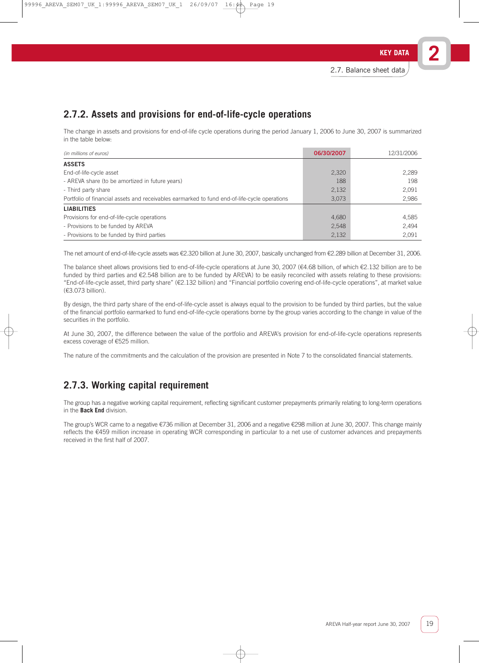# **2.7.2. Assets and provisions for end-of-life-cycle operations**

The change in assets and provisions for end-of-life cycle operations during the period January 1, 2006 to June 30, 2007 is summarized in the table below:

| (in millions of euros)                                                                       | 06/30/2007 | 12/31/2006 |
|----------------------------------------------------------------------------------------------|------------|------------|
| <b>ASSETS</b>                                                                                |            |            |
| End-of-life-cycle asset                                                                      | 2,320      | 2,289      |
| - AREVA share (to be amortized in future years)                                              | 188        | 198        |
| - Third party share                                                                          | 2,132      | 2,091      |
| Portfolio of financial assets and receivables earmarked to fund end-of-life-cycle operations | 3,073      | 2,986      |
| <b>LIABILITIES</b>                                                                           |            |            |
| Provisions for end-of-life-cycle operations                                                  | 4,680      | 4,585      |
| - Provisions to be funded by AREVA                                                           | 2,548      | 2,494      |
| - Provisions to be funded by third parties                                                   | 2,132      | 2,091      |

The net amount of end-of-life-cycle assets was €2.320 billion at June 30, 2007, basically unchanged from €2.289 billion at December 31, 2006.

The balance sheet allows provisions tied to end-of-life-cycle operations at June 30, 2007 (€4.68 billion, of which €2.132 billion are to be funded by third parties and €2.548 billion are to be funded by AREVA) to be easily reconciled with assets relating to these provisions: "End-of-life-cycle asset, third party share" (€2.132 billion) and "Financial portfolio covering end-of-life-cycle operations", at market value (€3.073 billion).

By design, the third party share of the end-of-life-cycle asset is always equal to the provision to be funded by third parties, but the value of the financial portfolio earmarked to fund end-of-life-cycle operations borne by the group varies according to the change in value of the securities in the portfolio.

At June 30, 2007, the difference between the value of the portfolio and AREVA's provision for end-of-life-cycle operations represents excess coverage of €525 million.

The nature of the commitments and the calculation of the provision are presented in Note 7 to the consolidated financial statements.

# **2.7.3. Working capital requirement**

The group has a negative working capital requirement, reflecting significant customer prepayments primarily relating to long-term operations in the **Back End** division.

The group's WCR came to a negative €736 million at December 31, 2006 and a negative €298 million at June 30, 2007. This change mainly reflects the €459 million increase in operating WCR corresponding in particular to a net use of customer advances and prepayments received in the first half of 2007.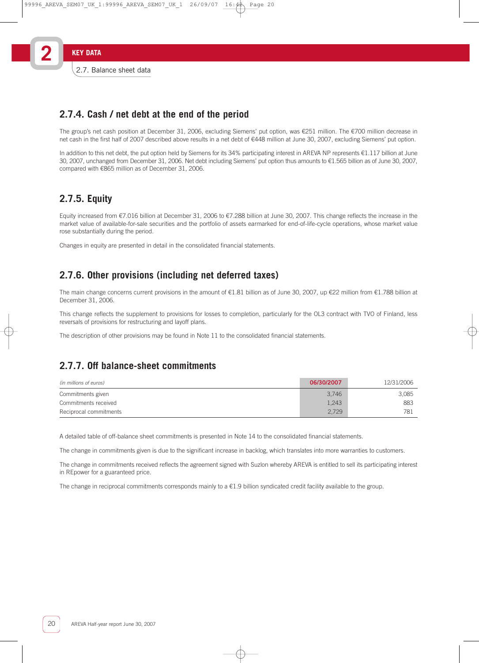# **2.7.4. Cash / net debt at the end of the period**

The group's net cash position at December 31, 2006, excluding Siemens' put option, was €251 million. The €700 million decrease in net cash in the first half of 2007 described above results in a net debt of €448 million at June 30, 2007, excluding Siemens' put option.

In addition to this net debt, the put option held by Siemens for its 34% participating interest in AREVA NP represents €1.117 billion at June 30, 2007, unchanged from December 31, 2006. Net debt including Siemens' put option thus amounts to €1.565 billion as of June 30, 2007, compared with €865 million as of December 31, 2006.

# **2.7.5. Equity**

Equity increased from €7.016 billion at December 31, 2006 to €7.288 billion at June 30, 2007. This change reflects the increase in the market value of available-for-sale securities and the portfolio of assets earmarked for end-of-life-cycle operations, whose market value rose substantially during the period.

Changes in equity are presented in detail in the consolidated financial statements.

# **2.7.6. Other provisions (including net deferred taxes)**

The main change concerns current provisions in the amount of €1.81 billion as of June 30, 2007, up €22 million from €1.788 billion at December 31, 2006.

This change reflects the supplement to provisions for losses to completion, particularly for the OL3 contract with TVO of Finland, less reversals of provisions for restructuring and layoff plans.

The description of other provisions may be found in Note 11 to the consolidated financial statements.

# **2.7.7. Off balance-sheet commitments**

| (in millions of euros) | 06/30/2007 | 12/31/2006 |
|------------------------|------------|------------|
| Commitments given      | 3.746      | 3.085      |
| Commitments received   | 1,243      | 883        |
| Reciprocal commitments | 2,729      | 781        |

A detailed table of off-balance sheet commitments is presented in Note 14 to the consolidated financial statements.

The change in commitments given is due to the significant increase in backlog, which translates into more warranties to customers.

The change in commitments received reflects the agreement signed with Suzlon whereby AREVA is entitled to sell its participating interest in REpower for a guaranteed price.

The change in reciprocal commitments corresponds mainly to a  $\epsilon$ 1.9 billion syndicated credit facility available to the group.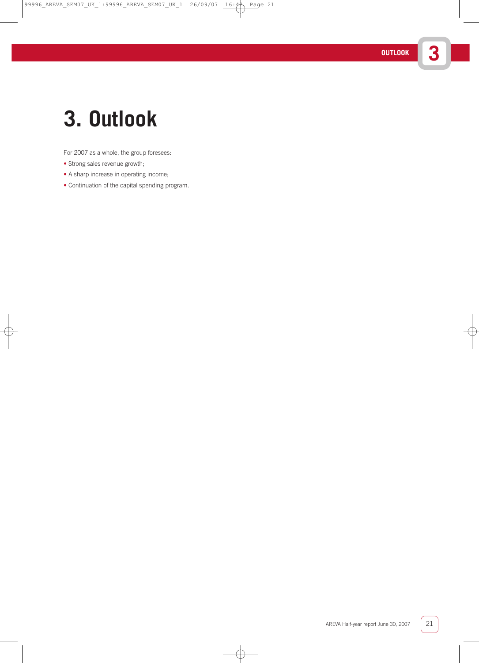# **3. Outlook**

For 2007 as a whole, the group foresees:

- Strong sales revenue growth;
- A sharp increase in operating income;
- Continuation of the capital spending program.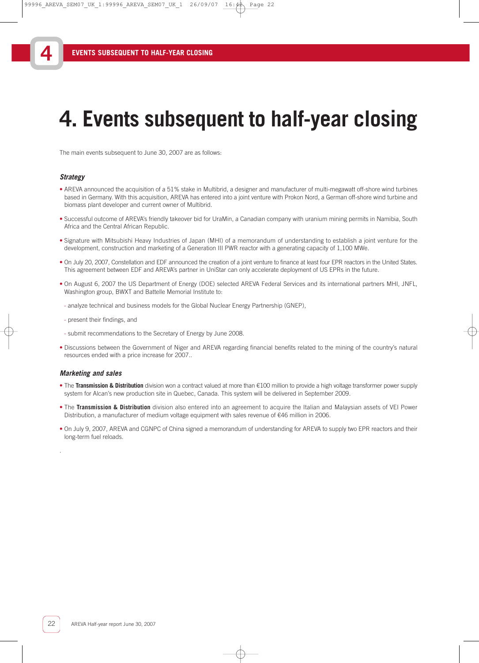# **4. Events subsequent to half-year closing**

The main events subsequent to June 30, 2007 are as follows:

### **Strategy**

**4**

- AREVA announced the acquisition of a 51% stake in Multibrid, a designer and manufacturer of multi-megawatt off-shore wind turbines based in Germany. With this acquisition, AREVA has entered into a joint venture with Prokon Nord, a German off-shore wind turbine and biomass plant developer and current owner of Multibrid.
- Successful outcome of AREVA's friendly takeover bid for UraMin, a Canadian company with uranium mining permits in Namibia, South Africa and the Central African Republic.
- Signature with Mitsubishi Heavy Industries of Japan (MHI) of a memorandum of understanding to establish a joint venture for the development, construction and marketing of a Generation III PWR reactor with a generating capacity of 1,100 MWe.
- On July 20, 2007, Constellation and EDF announced the creation of a joint venture to finance at least four EPR reactors in the United States. This agreement between EDF and AREVA's partner in UniStar can only accelerate deployment of US EPRs in the future.
- On August 6, 2007 the US Department of Energy (DOE) selected AREVA Federal Services and its international partners MHI, JNFL, Washington group, BWXT and Battelle Memorial Institute to:
- analyze technical and business models for the Global Nuclear Energy Partnership (GNEP),
- present their findings, and
- submit recommendations to the Secretary of Energy by June 2008.
- Discussions between the Government of Niger and AREVA regarding financial benefits related to the mining of the country's natural resources ended with a price increase for 2007..

### **Marketing and sales**

.

- The **Transmission & Distribution** division won a contract valued at more than €100 million to provide a high voltage transformer power supply system for Alcan's new production site in Quebec, Canada. This system will be delivered in September 2009.
- The **Transmission & Distribution** division also entered into an agreement to acquire the Italian and Malaysian assets of VEI Power Distribution, a manufacturer of medium voltage equipment with sales revenue of €46 million in 2006.
- On July 9, 2007, AREVA and CGNPC of China signed a memorandum of understanding for AREVA to supply two EPR reactors and their long-term fuel reloads.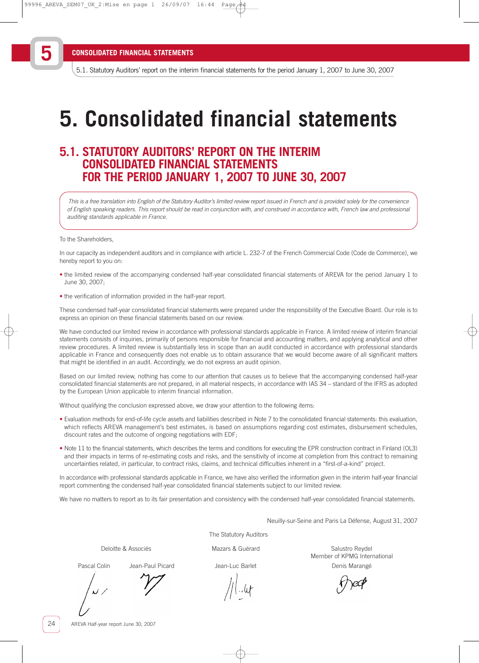5.1. Statutory Auditors' report on the interim financial statements for the period January 1, 2007 to June 30, 2007

# **5. Consolidated financial statements**

# **5.1. STATUTORY AUDITORS' REPORT ON THE INTERIM CONSOLIDATED FINANCIAL STATEMENTS FOR THE PERIOD JANUARY 1, 2007 TO JUNE 30, 2007**

This is a free translation into English of the Statutory Auditor's limited review report issued in French and is provided solely for the convenience of English speaking readers. This report should be read in conjunction with, and construed in accordance with, French law and professional auditing standards applicable in France.

#### To the Shareholders,

In our capacity as independent auditors and in compliance with article L. 232-7 of the French Commercial Code (Code de Commerce), we hereby report to you on:

- the limited review of the accompanying condensed half-year consolidated financial statements of AREVA for the period January 1 to June 30, 2007;
- the verification of information provided in the half-year report.

These condensed half-year consolidated financial statements were prepared under the responsibility of the Executive Board. Our role is to express an opinion on these financial statements based on our review.

We have conducted our limited review in accordance with professional standards applicable in France. A limited review of interim financial statements consists of inquiries, primarily of persons responsible for financial and accounting matters, and applying analytical and other review procedures. A limited review is substantially less in scope than an audit conducted in accordance with professional standards applicable in France and consequently does not enable us to obtain assurance that we would become aware of all significant matters that might be identified in an audit. Accordingly, we do not express an audit opinion.

Based on our limited review, nothing has come to our attention that causes us to believe that the accompanying condensed half-year consolidated financial statements are not prepared, in all material respects, in accordance with IAS 34 – standard of the IFRS as adopted by the European Union applicable to interim financial information.

Without qualifying the conclusion expressed above, we draw your attention to the following items:

- Evaluation methods for end-of-life cycle assets and liabilities described in Note 7 to the consolidated financial statements: this evaluation, which reflects AREVA management's best estimates, is based on assumptions regarding cost estimates, disbursement schedules, discount rates and the outcome of ongoing negotiations with EDF;
- Note 11 to the financial statements, which describes the terms and conditions for executing the EPR construction contract in Finland (OL3) and their impacts in terms of re-estimating costs and risks, and the sensitivity of income at completion from this contract to remaining uncertainties related, in particular, to contract risks, claims, and technical difficulties inherent in a "first-of-a-kind" project.

In accordance with professional standards applicable in France, we have also verified the information given in the interim half-year financial report commenting the condensed half-year consolidated financial statements subject to our limited review.

We have no matters to report as to its fair presentation and consistency with the condensed half-year consolidated financial statements.

Neuilly-sur-Seine and Paris La Défense, August 31, 2007

The Statutory Auditors

Deloitte & Associés **Mazars & Guérard** Mazars & Guérard Salustro Reydel Member of KPMG International Pascal Colin Chean-Paul Picard Colin Jean-Luc Barlet Chean-Luc Barlet Denis Marangé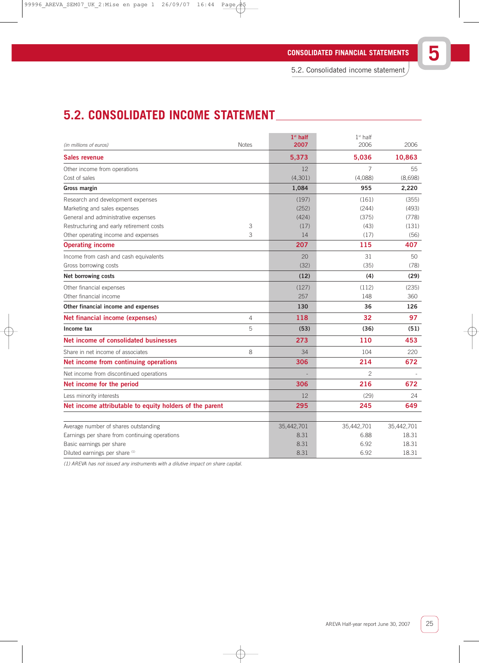5.2. Consolidated income statement

# **5.2. CONSOLIDATED INCOME STATEMENT**

| <b>Notes</b>                                            | $1st$ half<br>2007 | $1st$ half<br>2006                 | 2006                               |
|---------------------------------------------------------|--------------------|------------------------------------|------------------------------------|
|                                                         | 5,373              | 5,036                              | 10,863                             |
|                                                         | 12                 | $\overline{7}$                     | 55                                 |
|                                                         | (4,301)            | (4,088)                            | (8,698)                            |
|                                                         | 1,084              | 955                                | 2,220                              |
|                                                         | (197)              | (161)                              | (355)                              |
|                                                         | (252)              | (244)                              | (493)                              |
|                                                         | (424)              | (375)                              | (778)                              |
| 3                                                       | (17)               | (43)                               | (131)                              |
| 3                                                       | 14                 | (17)                               | (56)                               |
|                                                         | 207                | 115                                | 407                                |
|                                                         | 20                 | 31                                 | 50                                 |
|                                                         | (32)               | (35)                               | (78)                               |
|                                                         | (12)               | (4)                                | (29)                               |
|                                                         | (127)              | (112)                              | (235)                              |
|                                                         | 257                | 148                                | 360                                |
|                                                         | 130                | 36                                 | 126                                |
| 4                                                       | 118                | 32                                 | 97                                 |
| 5                                                       | (53)               | (36)                               | (51)                               |
|                                                         | 273                | 110                                | 453                                |
| 8                                                       | 34                 | 104                                | 220                                |
|                                                         | 306                | 214                                | 672                                |
|                                                         |                    | $\overline{c}$                     |                                    |
|                                                         | 306                | 216                                | 672                                |
|                                                         | 12                 | (29)                               | 24                                 |
| Net income attributable to equity holders of the parent | 295                | 245                                | 649                                |
|                                                         |                    |                                    |                                    |
|                                                         |                    |                                    | 35,442,701<br>18.31                |
|                                                         |                    |                                    | 18.31                              |
|                                                         |                    |                                    | 18.31                              |
|                                                         |                    | 35,442,701<br>8.31<br>8.31<br>8.31 | 35,442,701<br>6.88<br>6.92<br>6.92 |

(1) AREVA has not issued any instruments with a dilutive impact on share capital.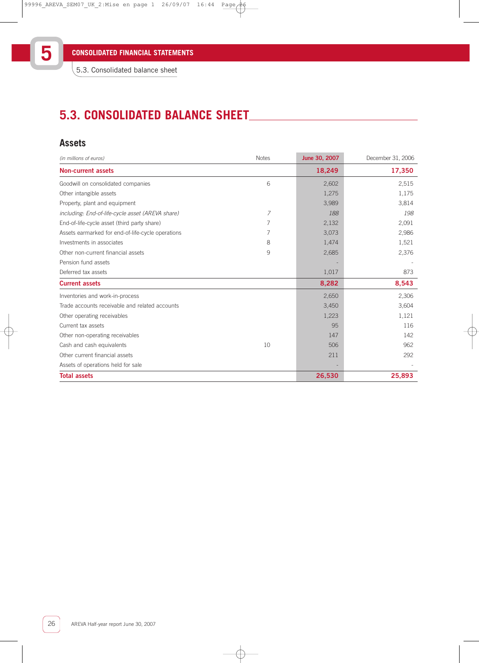# **5.3. CONSOLIDATED BALANCE SHEET**

### **Assets**

| (in millions of euros)                            | <b>Notes</b>   | June 30, 2007 | December 31, 2006 |
|---------------------------------------------------|----------------|---------------|-------------------|
| <b>Non-current assets</b>                         |                | 18,249        | 17,350            |
| Goodwill on consolidated companies                | 6              | 2,602         | 2,515             |
| Other intangible assets                           |                | 1,275         | 1,175             |
| Property, plant and equipment                     |                | 3,989         | 3,814             |
| including: End-of-life-cycle asset (AREVA share)  | $\overline{7}$ | 188           | 198               |
| End-of-life-cycle asset (third party share)       | 7              | 2,132         | 2,091             |
| Assets earmarked for end-of-life-cycle operations | 7              | 3,073         | 2,986             |
| Investments in associates                         | 8              | 1,474         | 1,521             |
| Other non-current financial assets                | 9              | 2,685         | 2,376             |
| Pension fund assets                               |                |               |                   |
| Deferred tax assets                               |                | 1,017         | 873               |
| <b>Current assets</b>                             |                | 8,282         | 8,543             |
| Inventories and work-in-process                   |                | 2,650         | 2,306             |
| Trade accounts receivable and related accounts    |                | 3,450         | 3,604             |
| Other operating receivables                       |                | 1,223         | 1,121             |
| Current tax assets                                |                | 95            | 116               |
| Other non-operating receivables                   |                | 147           | 142               |
| Cash and cash equivalents                         | 10             | 506           | 962               |
| Other current financial assets                    |                | 211           | 292               |
| Assets of operations held for sale                |                |               |                   |
| <b>Total assets</b>                               |                | 26,530        | 25,893            |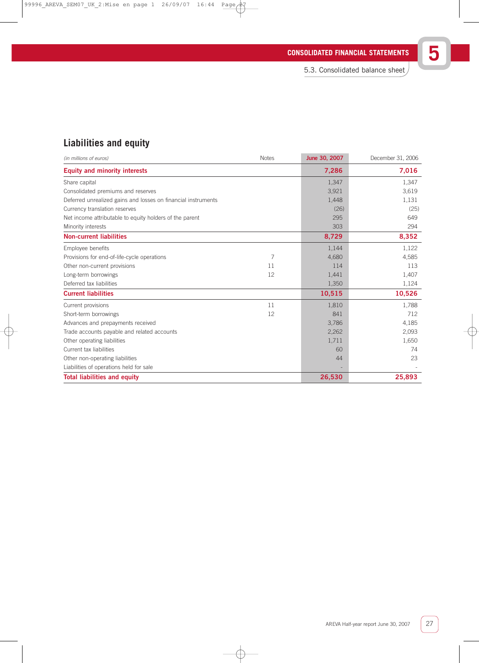| <b>CONSOLIDATED FINANCIAL STATEMENTS</b> |  |
|------------------------------------------|--|
|                                          |  |

5.3. Consolidated balance sheet

# **Liabilities and equity**

| (in millions of euros)                                        | <b>Notes</b> | June 30, 2007 | December 31, 2006 |
|---------------------------------------------------------------|--------------|---------------|-------------------|
| <b>Equity and minority interests</b>                          |              | 7,286         | 7,016             |
| Share capital                                                 |              | 1,347         | 1,347             |
| Consolidated premiums and reserves                            |              | 3,921         | 3,619             |
| Deferred unrealized gains and losses on financial instruments |              | 1,448         | 1,131             |
| Currency translation reserves                                 |              | (26)          | (25)              |
| Net income attributable to equity holders of the parent       |              | 295           | 649               |
| Minority interests                                            |              | 303           | 294               |
| <b>Non-current liabilities</b>                                |              | 8,729         | 8,352             |
| Employee benefits                                             |              | 1,144         | 1,122             |
| Provisions for end-of-life-cycle operations                   | 7            | 4,680         | 4,585             |
| Other non-current provisions                                  | 11           | 114           | 113               |
| Long-term borrowings                                          | 12           | 1,441         | 1,407             |
| Deferred tax liabilities                                      |              | 1,350         | 1,124             |
| <b>Current liabilities</b>                                    |              | 10,515        | 10,526            |
| Current provisions                                            | 11           | 1,810         | 1,788             |
| Short-term borrowings                                         | 12           | 841           | 712               |
| Advances and prepayments received                             |              | 3,786         | 4,185             |
| Trade accounts payable and related accounts                   |              | 2,262         | 2,093             |
| Other operating liabilities                                   |              | 1,711         | 1,650             |
| Current tax liabilities                                       |              | 60            | 74                |
| Other non-operating liabilities                               |              | 44            | 23                |
| Liabilities of operations held for sale                       |              |               |                   |
| <b>Total liabilities and equity</b>                           |              | 26,530        | 25,893            |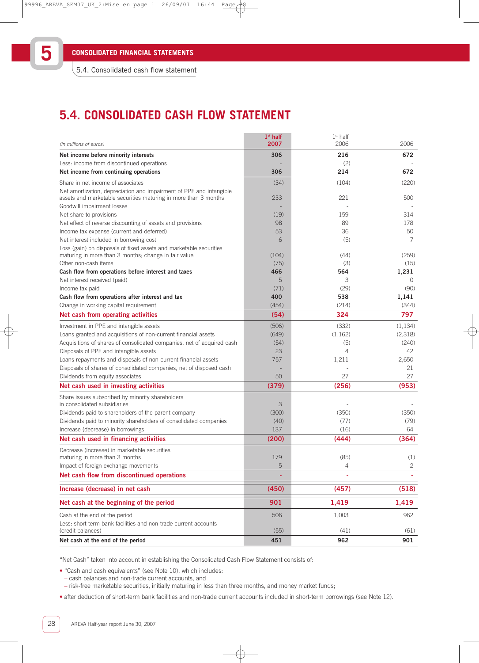5.4. Consolidated cash flow statement

# **5.4. CONSOLIDATED CASH FLOW STATEMENT**

| (in millions of euros)                                                                                                                 | $1st$ half<br>2007 | $1st$ half<br>2006 | 2006     |
|----------------------------------------------------------------------------------------------------------------------------------------|--------------------|--------------------|----------|
| Net income before minority interests                                                                                                   | 306                | 216                | 672      |
| Less: income from discontinued operations                                                                                              |                    | (2)                |          |
| Net income from continuing operations                                                                                                  | 306                | 214                | 672      |
| Share in net income of associates                                                                                                      | (34)               | (104)              | (220)    |
| Net amortization, depreciation and impairment of PPE and intangible<br>assets and marketable securities maturing in more than 3 months | 233                | 221                | 500      |
| Goodwill impairment losses                                                                                                             |                    |                    |          |
| Net share to provisions                                                                                                                | (19)               | 159                | 314      |
| Net effect of reverse discounting of assets and provisions                                                                             | 98                 | 89                 | 178      |
| Income tax expense (current and deferred)                                                                                              | 53                 | 36                 | 50       |
| Net interest included in borrowing cost                                                                                                | 6                  | (5)                | 7        |
| Loss (gain) on disposals of fixed assets and marketable securities<br>maturing in more than 3 months; change in fair value             | (104)              | (44)               | (259)    |
| Other non-cash items                                                                                                                   | (75)               | (3)                | (15)     |
| Cash flow from operations before interest and taxes                                                                                    | 466                | 564                | 1,231    |
| Net interest received (paid)                                                                                                           | 5                  | 3                  | 0        |
| Income tax paid                                                                                                                        | (71)               | (29)               | (90)     |
| Cash flow from operations after interest and tax                                                                                       | 400                | 538                | 1,141    |
| Change in working capital requirement                                                                                                  | (454)              | (214)              | (344)    |
| Net cash from operating activities                                                                                                     | (54)               | 324                | 797      |
| Investment in PPE and intangible assets                                                                                                | (506)              | (332)              | (1, 134) |
| Loans granted and acquisitions of non-current financial assets                                                                         | (649)              | (1,162)            | (2,318)  |
| Acquisitions of shares of consolidated companies, net of acquired cash                                                                 | (54)               | (5)                | (240)    |
| Disposals of PPE and intangible assets                                                                                                 | 23                 | 4                  | 42       |
| Loans repayments and disposals of non-current financial assets                                                                         | 757                | 1,211              | 2,650    |
| Disposals of shares of consolidated companies, net of disposed cash                                                                    |                    |                    | 21       |
| Dividends from equity associates                                                                                                       | 50                 | 27                 | 27       |
| Net cash used in investing activities                                                                                                  | (379)              | (256)              | (953)    |
| Share issues subscribed by minority shareholders<br>in consolidated subsidiaries                                                       | 3                  |                    |          |
| Dividends paid to shareholders of the parent company                                                                                   | (300)              | (350)              | (350)    |
| Dividends paid to minority shareholders of consolidated companies                                                                      | (40)               | (77)               | (79)     |
| Increase (decrease) in borrowings                                                                                                      | 137                | (16)               | 64       |
| Net cash used in financing activities                                                                                                  | (200)              | (444)              | (364)    |
| Decrease (increase) in marketable securities                                                                                           |                    |                    |          |
| maturing in more than 3 months                                                                                                         | 179                | (85)               | (1)      |
| Impact of foreign exchange movements                                                                                                   | 5                  | 4                  | 2        |
| Net cash flow from discontinued operations                                                                                             |                    | ۰                  |          |
| Increase (decrease) in net cash                                                                                                        | (450)              | (457)              | (518)    |
| Net cash at the beginning of the period                                                                                                | 901                | 1,419              | 1,419    |
|                                                                                                                                        |                    |                    |          |
| Cash at the end of the period                                                                                                          | 506                | 1,003              | 962      |
| Less: short-term bank facilities and non-trade current accounts<br>(credit balances)                                                   | (55)               | (41)               | (61)     |
| Net cash at the end of the period                                                                                                      | 451                | 962                | 901      |

"Net Cash" taken into account in establishing the Consolidated Cash Flow Statement consists of:

• "Cash and cash equivalents" (see Note 10), which includes:

- cash balances and non-trade current accounts, and
- risk-free marketable securities, initially maturing in less than three months, and money market funds;

• after deduction of short-term bank facilities and non-trade current accounts included in short-term borrowings (see Note 12).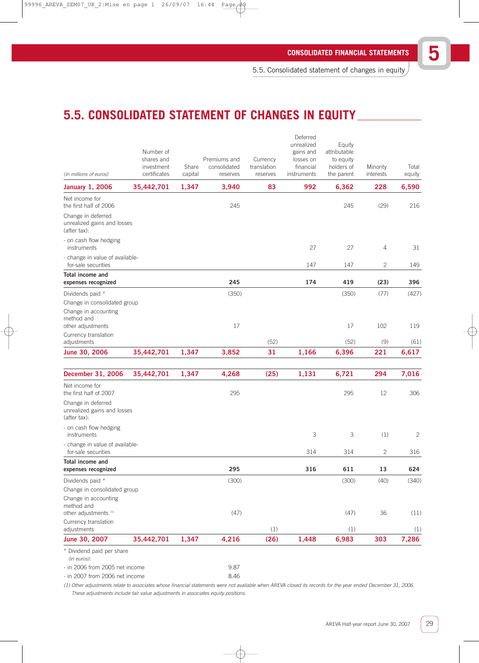5.5. Consolidated statement of changes in equity

# **5.5. CONSOLIDATED STATEMENT OF CHANGES IN EQUITY**

| (in millions of euros)                                            | Number of<br>shares and<br>investment<br>certificates | Share<br>capital | Premiums and<br>consolidated<br>reserves | Currency<br>translation<br>reserves | Deferred<br>unrealized<br>gains and<br>losses on<br>financial<br>instruments | Equity<br>attributable<br>to equity<br>holders of<br>the parent | Minority<br>interests | Total<br>equity |
|-------------------------------------------------------------------|-------------------------------------------------------|------------------|------------------------------------------|-------------------------------------|------------------------------------------------------------------------------|-----------------------------------------------------------------|-----------------------|-----------------|
| <b>January 1, 2006</b>                                            | 35,442,701                                            | 1,347            | 3,940                                    | 83                                  | 992                                                                          | 6,362                                                           | 228                   | 6,590           |
| Net income for<br>the first half of 2006                          |                                                       |                  | 245                                      |                                     |                                                                              | 245                                                             | (29)                  | 216             |
| Change in deferred<br>unrealized gains and losses<br>(after tax): |                                                       |                  |                                          |                                     |                                                                              |                                                                 |                       |                 |
| - on cash flow hedging<br>instruments                             |                                                       |                  |                                          |                                     | 27                                                                           | 27                                                              | $\overline{4}$        | 31              |
| - change in value of available-<br>for-sale securities            |                                                       |                  |                                          |                                     | 147                                                                          | 147                                                             | $\overline{c}$        | 149             |
| Total income and<br>expenses recognized                           |                                                       |                  | 245                                      |                                     | 174                                                                          | 419                                                             | (23)                  | 396             |
| Dividends paid *                                                  |                                                       |                  | (350)                                    |                                     |                                                                              | (350)                                                           | (77)                  | (427)           |
| Change in consolidated group                                      |                                                       |                  |                                          |                                     |                                                                              |                                                                 |                       |                 |
| Change in accounting<br>method and                                |                                                       |                  |                                          |                                     |                                                                              |                                                                 |                       |                 |
| other adjustments                                                 |                                                       |                  | 17                                       |                                     |                                                                              | 17                                                              | 102                   | 119             |
| Currency translation                                              |                                                       |                  |                                          | (52)                                |                                                                              | (52)                                                            | (9)                   | (61)            |
| adjustments<br>June 30, 2006                                      | 35,442,701                                            | 1,347            | 3,852                                    | 31                                  | 1,166                                                                        | 6,396                                                           | 221                   | 6,617           |
|                                                                   |                                                       |                  |                                          |                                     |                                                                              |                                                                 |                       |                 |
| December 31, 2006                                                 | 35,442,701                                            | 1,347            | 4,268                                    | (25)                                | 1,131                                                                        | 6,721                                                           | 294                   | 7,016           |
| Net income for<br>the first half of 2007                          |                                                       |                  | 295                                      |                                     |                                                                              | 295                                                             | 12                    | 306             |
| Change in deferred<br>unrealized gains and losses<br>(after tax): |                                                       |                  |                                          |                                     |                                                                              |                                                                 |                       |                 |
| - on cash flow hedging<br>instruments                             |                                                       |                  |                                          |                                     | 3                                                                            | 3                                                               | (1)                   | $\mathbf{2}$    |
| - change in value of available-<br>for-sale securities            |                                                       |                  |                                          |                                     | 314                                                                          | 314                                                             | 2                     | 316             |
| Total income and                                                  |                                                       |                  |                                          |                                     |                                                                              |                                                                 |                       |                 |
| expenses recognized                                               |                                                       |                  | 295                                      |                                     | 316                                                                          | 611                                                             | 13                    | 624             |
| Dividends paid *<br>Change in consolidated group                  |                                                       |                  | (300)                                    |                                     |                                                                              | (300)                                                           | (40)                  | (340)           |
| Change in accounting                                              |                                                       |                  |                                          |                                     |                                                                              |                                                                 |                       |                 |
| method and<br>other adjustments (1)                               |                                                       |                  | (47)                                     |                                     |                                                                              | (47)                                                            | 36                    | (11)            |
| Currency translation                                              |                                                       |                  |                                          |                                     |                                                                              |                                                                 |                       |                 |
| adjustments                                                       |                                                       |                  |                                          | (1)                                 |                                                                              | (1)                                                             |                       | (1)             |
| June 30, 2007                                                     | 35,442,701                                            | 1,347            | 4,216                                    | (26)                                | 1,448                                                                        | 6,983                                                           | 303                   | 7,286           |
| * Dividend paid per share<br>(in euros):                          |                                                       |                  |                                          |                                     |                                                                              |                                                                 |                       |                 |
| - in 2006 from 2005 net income                                    |                                                       |                  | 9.87                                     |                                     |                                                                              |                                                                 |                       |                 |
| - in 2007 from 2006 net income                                    |                                                       |                  | 8.46                                     |                                     |                                                                              |                                                                 |                       |                 |

(1) Other adjustments relate to associates whose financial statements were not available when AREVA closed its records for the year ended December 31, 2006. These adjustments include fair value adjustments in associates equity positions.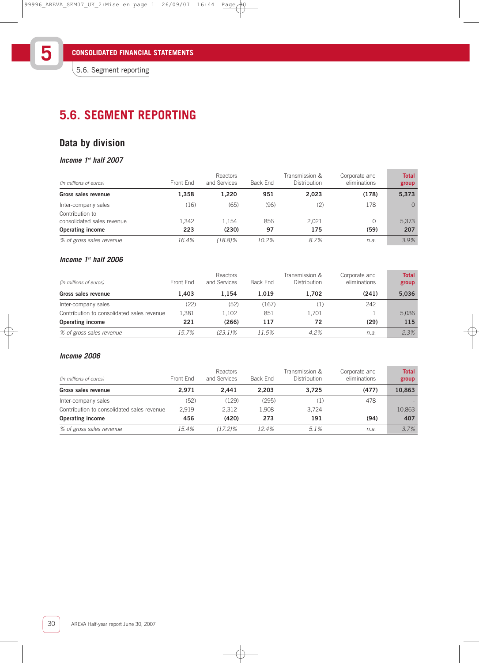# **5.6. SEGMENT REPORTING**

# **Data by division**

### **Income 1st half 2007**

| (in millions of euros)                        | Front End | Reactors<br>and Services | Back End | Transmission &<br><b>Distribution</b> | Corporate and<br>eliminations | <b>Total</b><br>group |
|-----------------------------------------------|-----------|--------------------------|----------|---------------------------------------|-------------------------------|-----------------------|
| Gross sales revenue                           | 1.358     | 1.220                    | 951      | 2.023                                 | (178)                         | 5,373                 |
| Inter-company sales                           | (16)      | (65)                     | (96)     | (2)                                   | 178                           | $\Omega$              |
| Contribution to<br>consolidated sales revenue | 1.342     | 1.154                    | 856      | 2.021                                 | 0                             | 5,373                 |
| <b>Operating income</b>                       | 223       | (230)                    | 97       | 175                                   | (59)                          | 207                   |
| % of gross sales revenue                      | 16.4%     | $(18.8)\%$               | 10.2%    | 8.7%                                  | n.a.                          | 3.9%                  |

### **Income 1st half 2006**

| (in millions of euros)                     | Front End | Reactors<br>and Services | Back End | Transmission &<br>Distribution | Corporate and<br>eliminations | <b>Total</b><br>group |
|--------------------------------------------|-----------|--------------------------|----------|--------------------------------|-------------------------------|-----------------------|
| Gross sales revenue                        | 1.403     | 1.154                    | 1.019    | 1,702                          | (241)                         | 5,036                 |
| Inter-company sales                        | (22)      | (52)                     | (167)    | (1)                            | 242                           |                       |
| Contribution to consolidated sales revenue | 1.381     | 1.102                    | 851      | 1.701                          |                               | 5,036                 |
| Operating income                           | 221       | (266)                    | 117      | 72                             | (29)                          | 115                   |
| % of gross sales revenue                   | 15.7%     | $(23.1)\%$               | 11.5%    | 4.2%                           | n.a.                          | 2.3%                  |

### **Income 2006**

| (in millions of euros)                     | Front End | Reactors<br>and Services | Back End | Transmission &<br>Distribution | Corporate and<br>eliminations | <b>Total</b><br>group |
|--------------------------------------------|-----------|--------------------------|----------|--------------------------------|-------------------------------|-----------------------|
| Gross sales revenue                        | 2.971     | 2.441                    | 2.203    | 3.725                          | (477)                         | 10.863                |
| Inter-company sales                        | (52)      | (129)                    | (295)    | (1)                            | 478                           |                       |
| Contribution to consolidated sales revenue | 2.919     | 2.312                    | 1.908    | 3,724                          |                               | 10,863                |
| <b>Operating income</b>                    | 456       | (420)                    | 273      | 191                            | (94)                          | 407                   |
| % of gross sales revenue                   | $15.4\%$  | $(17.2)\%$               | 12.4%    | 5.1%                           | n.a.                          | 3.7%                  |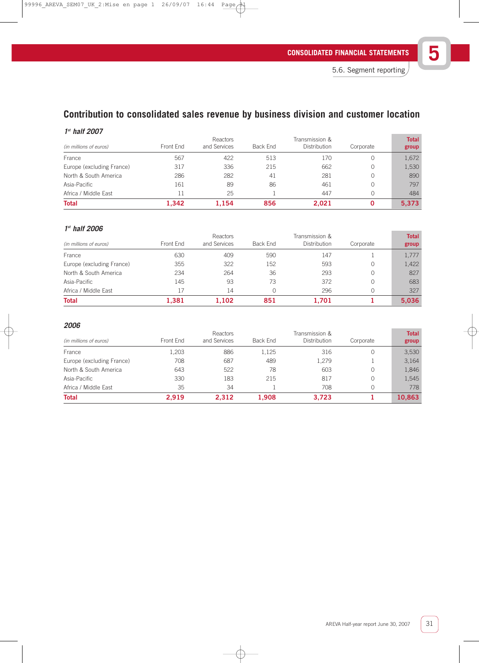# **Contribution to consolidated sales revenue by business division and customer location**

### **1 st half 2007**

| (in millions of euros)    | Front End | Reactors<br>and Services | Back End | Transmission &<br>Distribution | Corporate | <b>Total</b><br>group |
|---------------------------|-----------|--------------------------|----------|--------------------------------|-----------|-----------------------|
| France                    | 567       | 422                      | 513      | 170                            | 0         | 1,672                 |
| Europe (excluding France) | 317       | 336                      | 215      | 662                            | 0         | 1,530                 |
| North & South America     | 286       | 282                      | 41       | 281                            | 0         | 890                   |
| Asia-Pacific              | 161       | 89                       | 86       | 461                            | 0         | 797                   |
| Africa / Middle East      | 11        | 25                       |          | 447                            |           | 484                   |
| <b>Total</b>              | 1.342     | 1.154                    | 856      | 2.021                          |           | 5,373                 |

### **1 st half 2006**

|                           |           | Reactors     |          | Transmission & |           | <b>Total</b> |
|---------------------------|-----------|--------------|----------|----------------|-----------|--------------|
| (in millions of euros)    | Front End | and Services | Back End | Distribution   | Corporate | group        |
| France                    | 630       | 409          | 590      | 147            |           | 1,777        |
| Europe (excluding France) | 355       | 322          | 152      | 593            |           | 1,422        |
| North & South America     | 234       | 264          | 36       | 293            |           | 827          |
| Asia-Pacific              | 145       | 93           | 73       | 372            |           | 683          |
| Africa / Middle East      | 17        | 14           |          | 296            |           | 327          |
| <b>Total</b>              | 1,381     | 1.102        | 851      | 1.701          |           | 5,036        |

### **2006**

|                           |           | Reactors     |          | Transmission &      |           | <b>Total</b> |
|---------------------------|-----------|--------------|----------|---------------------|-----------|--------------|
| (in millions of euros)    | Front End | and Services | Back End | <b>Distribution</b> | Corporate | group        |
| France                    | L.203     | 886          | 1,125    | 316                 |           | 3,530        |
| Europe (excluding France) | 708       | 687          | 489      | 1,279               |           | 3.164        |
| North & South America     | 643       | 522          | 78       | 603                 |           | 1,846        |
| Asia-Pacific              | 330       | 183          | 215      | 817                 | 0         | 1,545        |
| Africa / Middle East      | 35        | 34           |          | 708                 |           | 778          |
| <b>Total</b>              | 2.919     | 2,312        | 1,908    | 3,723               |           | 10,863       |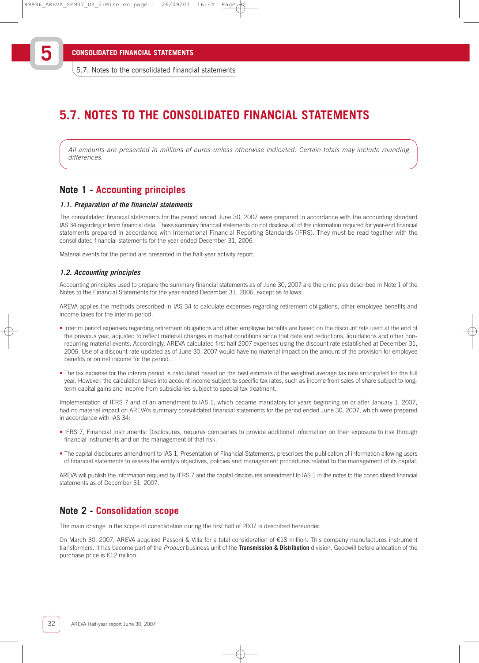**5**

# **5.7. NOTES TO THE CONSOLIDATED FINANCIAL STATEMENTS**

All amounts are presented in millions of euros unless otherwise indicated. Certain totals may include rounding differences

### **Note 1 - Accounting principles**

#### **1.1. Preparation of the financial statements**

The consolidated financial statements for the period ended June 30, 2007 were prepared in accordance with the accounting standard IAS 34 regarding interim financial data. These summary financial statements do not disclose all of the information required for year-end financial statements prepared in accordance with International Financial Reporting Standards (IFRS). They must be read together with the consolidated financial statements for the year ended December 31, 2006.

Material events for the period are presented in the half-year activity report.

#### **1.2. Accounting principles**

Accounting principles used to prepare the summary financial statements as of June 30, 2007 are the principles described in Note 1 of the Notes to the Financial Statements for the year ended December 31, 2006, except as follows:

AREVA applies the methods prescribed in IAS 34 to calculate expenses regarding retirement obligations, other employee benefits and income taxes for the interim period.

- Interim period expenses regarding retirement obligations and other employee benefits are based on the discount rate used at the end of the previous year, adjusted to reflect material changes in market conditions since that date and reductions, liquidations and other nonrecurring material events. Accordingly, AREVA calculated first half 2007 expenses using the discount rate established at December 31, 2006. Use of a discount rate updated as of June 30, 2007 would have no material impact on the amount of the provision for employee benefits or on net income for the period.
- The tax expense for the interim period is calculated based on the best estimate of the weighted average tax rate anticipated for the full year. However, the calculation takes into account income subject to specific tax rates, such as income from sales of share subject to longterm capital gains and income from subsidiaries subject to special tax treatment.

Implementation of IFRS 7 and of an amendment to IAS 1, which became mandatory for years beginning on or after January 1, 2007, had no material impact on AREVA's summary consolidated financial statements for the period ended June 30, 2007, which were prepared in accordance with IAS 34:

- IFRS 7, Financial Instruments: Disclosures, requires companies to provide additional information on their exposure to risk through financial instruments and on the management of that risk.
- The capital disclosures amendment to IAS 1, Presentation of Financial Statements, prescribes the publication of information allowing users of financial statements to assess the entity's objectives, policies and management procedures related to the management of its capital.

AREVA will publish the information required by IFRS 7 and the capital disclosures amendment to IAS 1 in the notes to the consolidated financial statements as of December 31, 2007.

### **Note 2 - Consolidation scope**

The main change in the scope of consolidation during the first half of 2007 is described hereunder.

On March 30, 2007, AREVA acquired Passoni & Villa for a total consideration of €18 million. This company manufactures instrument transformers. It has become part of the Product business unit of the **Transmission & Distribution** division. Goodwill before allocation of the purchase price is €12 million.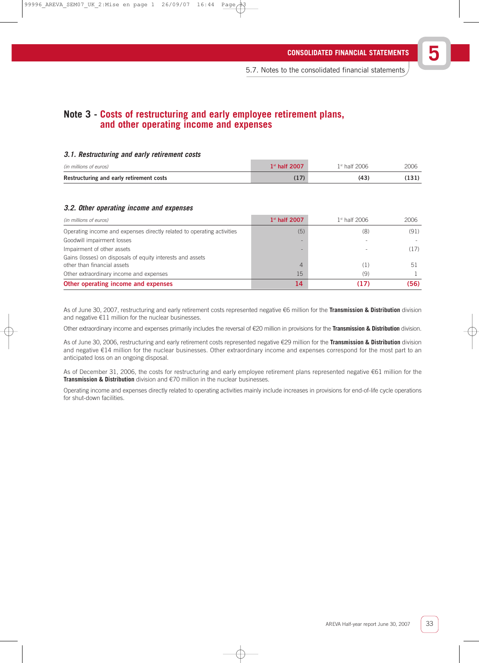## **Note 3 - Costs of restructuring and early employee retirement plans, and other operating income and expenses**

### **3.1. Restructuring and early retirement costs**

| (in millions of euros)                   | $1st$ half 2007 | $1st$ half 2006 | 2006 |
|------------------------------------------|-----------------|-----------------|------|
| Restructuring and early retirement costs |                 | (43)            |      |

### **3.2. Other operating income and expenses**

| (in millions of euros)                                                                    | $1st$ half 2007 | $1st$ half 2006 | 2006 |
|-------------------------------------------------------------------------------------------|-----------------|-----------------|------|
| Operating income and expenses directly related to operating activities                    | (5)             | (8)             | (91) |
| Goodwill impairment losses                                                                |                 |                 |      |
| Impairment of other assets                                                                |                 |                 | (17) |
| Gains (losses) on disposals of equity interests and assets<br>other than financial assets |                 |                 | 51   |
| Other extraordinary income and expenses                                                   | 15              | (9)             |      |
| Other operating income and expenses                                                       |                 | (17)            | (56) |

As of June 30, 2007, restructuring and early retirement costs represented negative €6 million for the **Transmission & Distribution** division and negative €11 million for the nuclear businesses.

Other extraordinary income and expenses primarily includes the reversal of €20 million in provisions for the **Transmission & Distribution** division.

As of June 30, 2006, restructuring and early retirement costs represented negative €29 million for the **Transmission & Distribution** division and negative €14 million for the nuclear businesses. Other extraordinary income and expenses correspond for the most part to an anticipated loss on an ongoing disposal.

As of December 31, 2006, the costs for restructuring and early employee retirement plans represented negative €61 million for the **Transmission & Distribution** division and €70 million in the nuclear businesses.

Operating income and expenses directly related to operating activities mainly include increases in provisions for end-of-life cycle operations for shut-down facilities.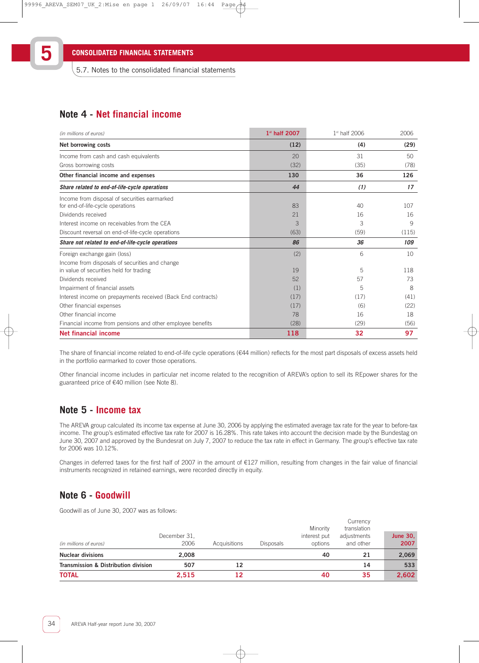**5**

5.7. Notes to the consolidated financial statements

## **Note 4 - Net financial income**

| (in millions of euros)                                       | 1st half 2007 | 1st half 2006 | 2006  |
|--------------------------------------------------------------|---------------|---------------|-------|
| Net borrowing costs                                          | (12)          | (4)           | (29)  |
| Income from cash and cash equivalents                        | 20            | 31            | 50    |
| Gross borrowing costs                                        | (32)          | (35)          | (78)  |
| Other financial income and expenses                          | 130           | 36            | 126   |
| Share related to end-of-life-cycle operations                | 44            | (1)           | 17    |
| Income from disposal of securities earmarked                 |               |               |       |
| for end-of-life-cycle operations                             | 83            | 40            | 107   |
| Dividends received                                           | 21            | 16            | 16    |
| Interest income on receivables from the CEA                  | 3             | 3             | 9     |
| Discount reversal on end-of-life-cycle operations            | (63)          | (59)          | (115) |
| Share not related to end-of-life-cycle operations            | 86            | 36            | 109   |
| Foreign exchange gain (loss)                                 | (2)           | 6             | 10    |
| Income from disposals of securities and change               |               |               |       |
| in value of securities held for trading                      | 19            | 5             | 118   |
| Dividends received                                           | 52            | 57            | 73    |
| Impairment of financial assets                               | (1)           | 5             | 8     |
| Interest income on prepayments received (Back End contracts) | (17)          | (17)          | (41)  |
| Other financial expenses                                     | (17)          | (6)           | (22)  |
| Other financial income                                       | 78            | 16            | 18    |
| Financial income from pensions and other employee benefits   | (28)          | (29)          | (56)  |
| <b>Net financial income</b>                                  | 118           | 32            | 97    |

The share of financial income related to end-of-life cycle operations (€44 million) reflects for the most part disposals of excess assets held in the portfolio earmarked to cover those operations.

Other financial income includes in particular net income related to the recognition of AREVA's option to sell its REpower shares for the guaranteed price of €40 million (see Note 8).

## **Note 5 - Income tax**

The AREVA group calculated its income tax expense at June 30, 2006 by applying the estimated average tax rate for the year to before-tax income. The group's estimated effective tax rate for 2007 is 16.28%. This rate takes into account the decision made by the Bundestag on June 30, 2007 and approved by the Bundesrat on July 7, 2007 to reduce the tax rate in effect in Germany. The group's effective tax rate for 2006 was 10.12%.

Changes in deferred taxes for the first half of 2007 in the amount of €127 million, resulting from changes in the fair value of financial instruments recognized in retained earnings, were recorded directly in equity.

### **Note 6 - Goodwill**

Goodwill as of June 30, 2007 was as follows:

| (in millions of euros)               | December 31.<br>2006 | Acquisitions | <b>Disposals</b> | Minority<br>interest put<br>options | Currency<br>translation<br>adjustments<br>and other | <b>June 30,</b><br>2007 |
|--------------------------------------|----------------------|--------------|------------------|-------------------------------------|-----------------------------------------------------|-------------------------|
| <b>Nuclear divisions</b>             | 2.008                |              |                  | 40                                  | 21                                                  | 2,069                   |
| Transmission & Distribution division | 507                  | 12           |                  |                                     | 14                                                  | 533                     |
| <b>TOTAL</b>                         | 2.515                | 12           |                  | 40                                  | 35                                                  | 2,602                   |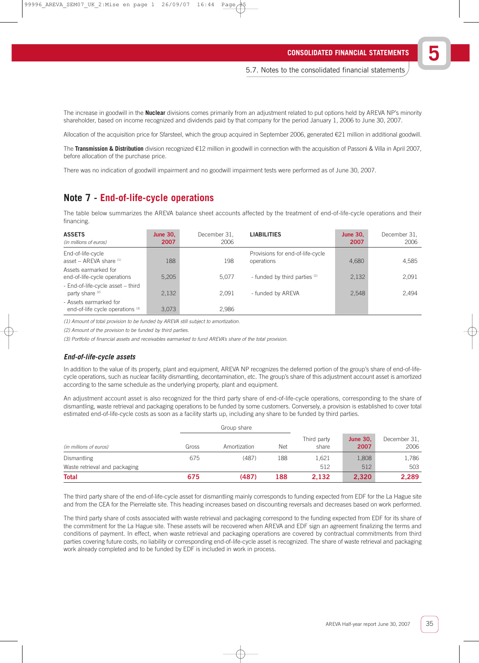The increase in goodwill in the **Nuclear** divisions comes primarily from an adjustment related to put options held by AREVA NP's minority shareholder, based on income recognized and dividends paid by that company for the period January 1, 2006 to June 30, 2007.

Allocation of the acquisition price for Sfarsteel, which the group acquired in September 2006, generated €21 million in additional goodwill.

The **Transmission & Distribution** division recognized €12 million in goodwill in connection with the acquisition of Passoni & Villa in April 2007, before allocation of the purchase price.

There was no indication of goodwill impairment and no goodwill impairment tests were performed as of June 30, 2007.

### **Note 7 - End-of-life-cycle operations**

The table below summarizes the AREVA balance sheet accounts affected by the treatment of end-of-life-cycle operations and their financing.

| <b>ASSETS</b><br>(in millions of euros)                         | <b>June 30.</b><br>2007 | December 31.<br>2006 | <b>LIABILITIES</b>                             | <b>June 30.</b><br>2007 | December 31.<br>2006 |
|-----------------------------------------------------------------|-------------------------|----------------------|------------------------------------------------|-------------------------|----------------------|
| End-of-life-cycle<br>asset - AREVA share (1)                    | 188                     | 198                  | Provisions for end-of-life-cycle<br>operations | 4,680                   | 4,585                |
| Assets earmarked for<br>end-of-life-cycle operations            | 5,205                   | 5.077                | - funded by third parties (2)                  | 2,132                   | 2,091                |
| - End-of-life-cycle asset - third<br>party share <sup>(2)</sup> | 2,132                   | 2.091                | - funded by AREVA                              | 2.548                   | 2.494                |
| - Assets earmarked for<br>end-of-life cycle operations (3)      | 3,073                   | 2,986                |                                                |                         |                      |

(1) Amount of total provision to be funded by AREVA still subject to amortization.

(2) Amount of the provision to be funded by third parties.

(3) Portfolio of financial assets and receivables earmarked to fund AREVA's share of the total provision.

### **End-of-life-cycle assets**

In addition to the value of its property, plant and equipment, AREVA NP recognizes the deferred portion of the group's share of end-of-lifecycle operations, such as nuclear facility dismantling, decontamination, etc. The group's share of this adjustment account asset is amortized according to the same schedule as the underlying property, plant and equipment.

An adjustment account asset is also recognized for the third party share of end-of-life-cycle operations, corresponding to the share of dismantling, waste retrieval and packaging operations to be funded by some customers. Conversely, a provision is established to cover total estimated end-of-life-cycle costs as soon as a facility starts up, including any share to be funded by third parties.

|                               |       | Group share  |            |                      |                         |                      |
|-------------------------------|-------|--------------|------------|----------------------|-------------------------|----------------------|
| (in millions of euros)        | Gross | Amortization | <b>Net</b> | Third party<br>share | <b>June 30,</b><br>2007 | December 31.<br>2006 |
| <b>Dismantling</b>            | 675   | (487)        | 188        | 1,621                | 1,808                   | 1,786                |
| Waste retrieval and packaging |       |              |            | 512                  | 512                     | 503                  |
| <b>Total</b>                  | 675   | (487)        | 188        | 2,132                | 2,320                   | 2,289                |

The third party share of the end-of-life-cycle asset for dismantling mainly corresponds to funding expected from EDF for the La Hague site and from the CEA for the Pierrelatte site. This heading increases based on discounting reversals and decreases based on work performed.

The third party share of costs associated with waste retrieval and packaging correspond to the funding expected from EDF for its share of the commitment for the La Hague site. These assets will be recovered when AREVA and EDF sign an agreement finalizing the terms and conditions of payment. In effect, when waste retrieval and packaging operations are covered by contractual commitments from third parties covering future costs, no liability or corresponding end-of-life-cycle asset is recognized. The share of waste retrieval and packaging work already completed and to be funded by EDF is included in work in process.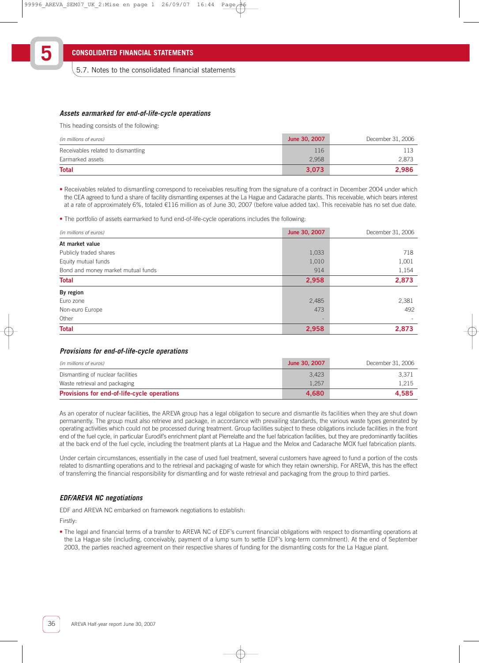### **Assets earmarked for end-of-life-cycle operations**

This heading consists of the following:

| (in millions of euros)             | June 30, 2007 | December 31, 2006 |
|------------------------------------|---------------|-------------------|
| Receivables related to dismantling | 116           | 113               |
| Earmarked assets                   | 2,958         | 2.873             |
| <b>Total</b>                       | 3.073         | 2.986             |

• Receivables related to dismantling correspond to receivables resulting from the signature of a contract in December 2004 under which the CEA agreed to fund a share of facility dismantling expenses at the La Hague and Cadarache plants. This receivable, which bears interest at a rate of approximately 6%, totaled €116 million as of June 30, 2007 (before value added tax). This receivable has no set due date.

• The portfolio of assets earmarked to fund end-of-life-cycle operations includes the following:

| (in millions of euros)             | June 30, 2007            | December 31, 2006 |
|------------------------------------|--------------------------|-------------------|
| At market value                    |                          |                   |
| Publicly traded shares             | 1,033                    | 718               |
| Equity mutual funds                | 1,010                    | 1,001             |
| Bond and money market mutual funds | 914                      | 1,154             |
| <b>Total</b>                       | 2,958                    | 2,873             |
| By region                          |                          |                   |
| Euro zone                          | 2,485                    | 2,381             |
| Non-euro Europe                    | 473                      | 492               |
| Other                              | $\overline{\phantom{a}}$ |                   |
| <b>Total</b>                       | 2,958                    | 2,873             |

#### **Provisions for end-of-life-cycle operations**

| (in millions of euros)                             | June 30, 2007 | December 31, 2006 |
|----------------------------------------------------|---------------|-------------------|
| Dismantling of nuclear facilities                  | 3,423         | 3.371             |
| Waste retrieval and packaging                      | 1,257         | 1.215             |
| <b>Provisions for end-of-life-cycle operations</b> | 4.680         | 4.585             |

As an operator of nuclear facilities, the AREVA group has a legal obligation to secure and dismantle its facilities when they are shut down permanently. The group must also retrieve and package, in accordance with prevailing standards, the various waste types generated by operating activities which could not be processed during treatment. Group facilities subject to these obligations include facilities in the front end of the fuel cycle, in particular Eurodif's enrichment plant at Pierrelatte and the fuel fabrication facilities, but they are predominantly facilities at the back end of the fuel cycle, including the treatment plants at La Hague and the Melox and Cadarache MOX fuel fabrication plants.

Under certain circumstances, essentially in the case of used fuel treatment, several customers have agreed to fund a portion of the costs related to dismantling operations and to the retrieval and packaging of waste for which they retain ownership. For AREVA, this has the effect of transferring the financial responsibility for dismantling and for waste retrieval and packaging from the group to third parties.

### **EDF/AREVA NC negotiations**

EDF and AREVA NC embarked on framework negotiations to establish:

Firstly:

• The legal and financial terms of a transfer to AREVA NC of EDF's current financial obligations with respect to dismantling operations at the La Hague site (including, conceivably, payment of a lump sum to settle EDF's long-term commitment). At the end of September 2003, the parties reached agreement on their respective shares of funding for the dismantling costs for the La Hague plant.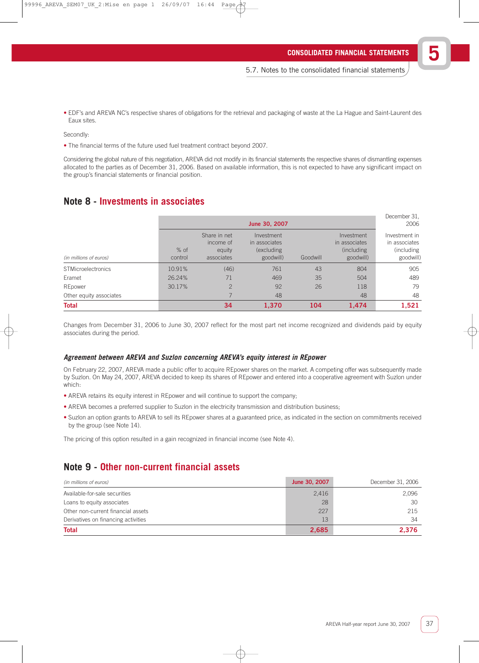• EDF's and AREVA NC's respective shares of obligations for the retrieval and packaging of waste at the La Hague and Saint-Laurent des Eaux sites.

Secondly:

• The financial terms of the future used fuel treatment contract beyond 2007.

Considering the global nature of this negotiation, AREVA did not modify in its financial statements the respective shares of dismantling expenses allocated to the parties as of December 31, 2006. Based on available information, this is not expected to have any significant impact on the group's financial statements or financial position.

### **Note 8 - Investments in associates**

|                           |                   |                                                   | June 30, 2007                                          |          |                                                         | December 31.<br>2006                                       |
|---------------------------|-------------------|---------------------------------------------------|--------------------------------------------------------|----------|---------------------------------------------------------|------------------------------------------------------------|
| (in millions of euros)    | $%$ of<br>control | Share in net<br>income of<br>equity<br>associates | Investment<br>in associates<br>(excluding<br>goodwill) | Goodwill | Investment<br>in associates<br>(including)<br>goodwill) | Investment in<br>in associates<br>(including)<br>goodwill) |
| <b>STMicroelectronics</b> | 10.91%            | (46)                                              | 761                                                    | 43       | 804                                                     | 905                                                        |
| Eramet                    | 26.24%            | 71                                                | 469                                                    | 35       | 504                                                     | 489                                                        |
| REpower                   | 30.17%            | $\overline{2}$                                    | 92                                                     | 26       | 118                                                     | 79                                                         |
| Other equity associates   |                   |                                                   | 48                                                     |          | 48                                                      | 48                                                         |
| <b>Total</b>              |                   | 34                                                | 1,370                                                  | 104      | 1,474                                                   | 1,521                                                      |

Changes from December 31, 2006 to June 30, 2007 reflect for the most part net income recognized and dividends paid by equity associates during the period.

### **Agreement between AREVA and Suzlon concerning AREVA's equity interest in REpower**

On February 22, 2007, AREVA made a public offer to acquire REpower shares on the market. A competing offer was subsequently made by Suzlon. On May 24, 2007, AREVA decided to keep its shares of REpower and entered into a cooperative agreement with Suzlon under which:

- AREVA retains its equity interest in REpower and will continue to support the company;
- AREVA becomes a preferred supplier to Suzlon in the electricity transmission and distribution business;
- Suzlon an option grants to AREVA to sell its REpower shares at a guaranteed price, as indicated in the section on commitments received by the group (see Note 14).

The pricing of this option resulted in a gain recognized in financial income (see Note 4).

### **Note 9 - Other non-current financial assets**

| (in millions of euros)              | June 30, 2007 | December 31, 2006 |
|-------------------------------------|---------------|-------------------|
| Available-for-sale securities       | 2,416         | 2.096             |
| Loans to equity associates          | 28            | 30                |
| Other non-current financial assets  | 227           | 215               |
| Derivatives on financing activities | 13            | 34                |
| <b>Total</b>                        | 2,685         | 2.376             |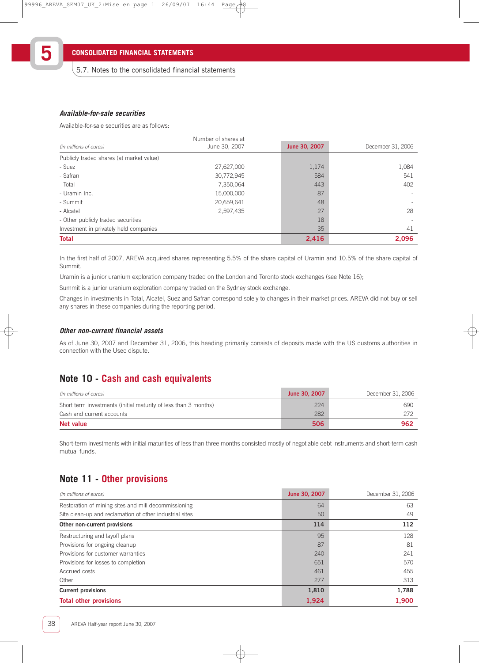### **Available-for-sale securities**

**5**

Available-for-sale securities are as follows:

| (in millions of euros)                   | Number of shares at<br>June 30, 2007 | June 30, 2007 | December 31, 2006 |
|------------------------------------------|--------------------------------------|---------------|-------------------|
| Publicly traded shares (at market value) |                                      |               |                   |
| - Suez                                   | 27,627,000                           | 1,174         | 1,084             |
| - Safran                                 | 30,772,945                           | 584           | 541               |
| - Total                                  | 7,350,064                            | 443           | 402               |
| - Uramin Inc.                            | 15,000,000                           | 87            |                   |
| - Summit                                 | 20,659,641                           | 48            |                   |
| - Alcatel                                | 2,597,435                            | 27            | 28                |
| - Other publicly traded securities       |                                      | 18            |                   |
| Investment in privately held companies   |                                      | 35            | 41                |
| <b>Total</b>                             |                                      | 2,416         | 2.096             |

In the first half of 2007, AREVA acquired shares representing 5.5% of the share capital of Uramin and 10.5% of the share capital of Summit.

Uramin is a junior uranium exploration company traded on the London and Toronto stock exchanges (see Note 16);

Summit is a junior uranium exploration company traded on the Sydney stock exchange.

Changes in investments in Total, Alcatel, Suez and Safran correspond solely to changes in their market prices. AREVA did not buy or sell any shares in these companies during the reporting period.

### **Other non-current financial assets**

As of June 30, 2007 and December 31, 2006, this heading primarily consists of deposits made with the US customs authorities in connection with the Usec dispute.

### **Note 10 - Cash and cash equivalents**

| (in millions of euros)                                          | June 30, 2007 | December 31, 2006 |
|-----------------------------------------------------------------|---------------|-------------------|
| Short term investments (initial maturity of less than 3 months) | 224           | 690               |
| Cash and current accounts                                       | 282           | 272               |
| Net value                                                       | 506           | 962               |

Short-term investments with initial maturities of less than three months consisted mostly of negotiable debt instruments and short-term cash mutual funds.

# **Note 11 - Other provisions**

| (in millions of euros)                                  | June 30, 2007 | December 31, 2006 |
|---------------------------------------------------------|---------------|-------------------|
| Restoration of mining sites and mill decommissioning    | 64            | 63                |
| Site clean-up and reclamation of other industrial sites | 50            | 49                |
| Other non-current provisions                            | 114           | 112               |
| Restructuring and layoff plans                          | 95            | 128               |
| Provisions for ongoing cleanup                          | 87            | 81                |
| Provisions for customer warranties                      | 240           | 241               |
| Provisions for losses to completion                     | 651           | 570               |
| Accrued costs                                           | 461           | 455               |
| Other                                                   | 277           | 313               |
| <b>Current provisions</b>                               | 1,810         | 1,788             |
| <b>Total other provisions</b>                           | 1,924         | 1,900             |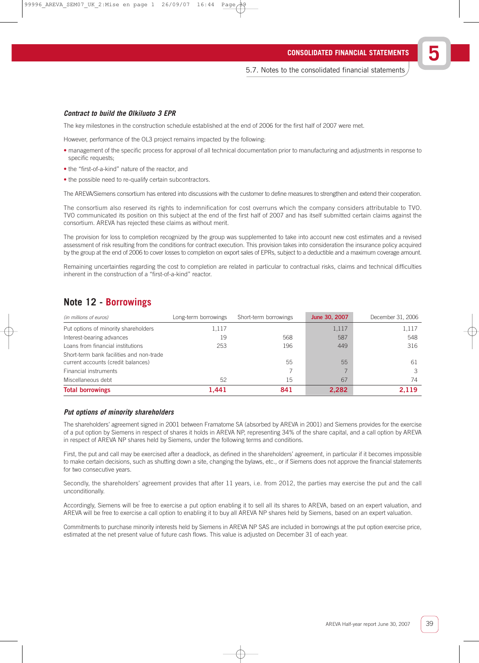### **Contract to build the Olkiluoto 3 EPR**

The key milestones in the construction schedule established at the end of 2006 for the first half of 2007 were met.

However, performance of the OL3 project remains impacted by the following:

- management of the specific process for approval of all technical documentation prior to manufacturing and adjustments in response to specific requests;
- the "first-of-a-kind" nature of the reactor, and
- the possible need to re-qualify certain subcontractors.

The AREVA/Siemens consortium has entered into discussions with the customer to define measures to strengthen and extend their cooperation.

The consortium also reserved its rights to indemnification for cost overruns which the company considers attributable to TVO. TVO communicated its position on this subject at the end of the first half of 2007 and has itself submitted certain claims against the consortium. AREVA has rejected these claims as without merit.

The provision for loss to completion recognized by the group was supplemented to take into account new cost estimates and a revised assessment of risk resulting from the conditions for contract execution. This provision takes into consideration the insurance policy acquired by the group at the end of 2006 to cover losses to completion on export sales of EPRs, subject to a deductible and a maximum coverage amount.

Remaining uncertainties regarding the cost to completion are related in particular to contractual risks, claims and technical difficulties inherent in the construction of a "first-of-a-kind" reactor.

### **Note 12 - Borrowings**

| (in millions of euros)                                                         | Long-term borrowings | Short-term borrowings | June 30, 2007 | December 31, 2006 |
|--------------------------------------------------------------------------------|----------------------|-----------------------|---------------|-------------------|
| Put options of minority shareholders                                           | 1,117                |                       | 1,117         | 1,117             |
| Interest-bearing advances                                                      | 19                   | 568                   | 587           | 548               |
| Loans from financial institutions                                              | 253                  | 196                   | 449           | 316               |
| Short-term bank facilities and non-trade<br>current accounts (credit balances) |                      | 55                    | 55            | 61                |
| Financial instruments                                                          |                      |                       |               |                   |
| Miscellaneous debt                                                             | 52                   | 15                    | 67            | 74                |
| <b>Total borrowings</b>                                                        | 1,441                | 841                   | 2,282         | 2.119             |

### **Put options of minority shareholders**

The shareholders' agreement signed in 2001 between Framatome SA (absorbed by AREVA in 2001) and Siemens provides for the exercise of a put option by Siemens in respect of shares it holds in AREVA NP, representing 34% of the share capital, and a call option by AREVA in respect of AREVA NP shares held by Siemens, under the following terms and conditions.

First, the put and call may be exercised after a deadlock, as defined in the shareholders' agreement, in particular if it becomes impossible to make certain decisions, such as shutting down a site, changing the bylaws, etc., or if Siemens does not approve the financial statements for two consecutive years.

Secondly, the shareholders' agreement provides that after 11 years, i.e. from 2012, the parties may exercise the put and the call unconditionally.

Accordingly, Siemens will be free to exercise a put option enabling it to sell all its shares to AREVA, based on an expert valuation, and AREVA will be free to exercise a call option to enabling it to buy all AREVA NP shares held by Siemens, based on an expert valuation.

Commitments to purchase minority interests held by Siemens in AREVA NP SAS are included in borrowings at the put option exercise price, estimated at the net present value of future cash flows. This value is adjusted on December 31 of each year.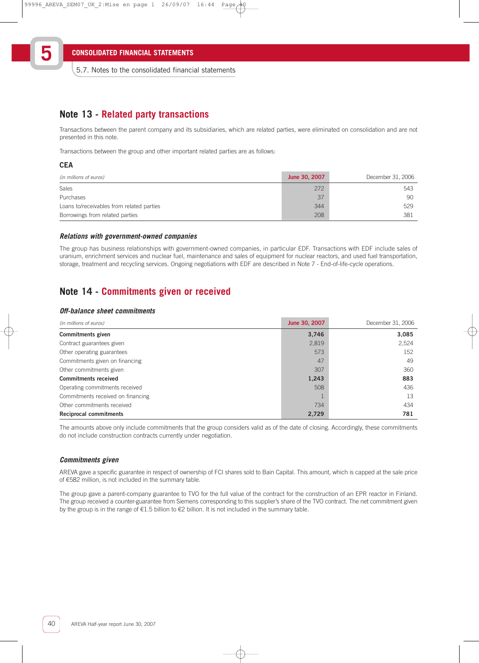5.7. Notes to the consolidated financial statements

### **Note 13 - Related party transactions**

Transactions between the parent company and its subsidiaries, which are related parties, were eliminated on consolidation and are not presented in this note.

Transactions between the group and other important related parties are as follows:

### **CEA**

**5**

| (in millions of euros)                    | June 30, 2007 | December 31, 2006 |
|-------------------------------------------|---------------|-------------------|
| <b>Sales</b>                              | 272           | 543               |
| Purchases                                 | 37            | 90                |
| Loans to/receivables from related parties | 344           | 529               |
| Borrowings from related parties           | 208           | 381               |

### **Relations with government-owned companies**

The group has business relationships with government-owned companies, in particular EDF. Transactions with EDF include sales of uranium, enrichment services and nuclear fuel, maintenance and sales of equipment for nuclear reactors, and used fuel transportation, storage, treatment and recycling services. Ongoing negotiations with EDF are described in Note 7 - End-of-life-cycle operations.

### **Note 14 - Commitments given or received**

### **Off-balance sheet commitments**

| (in millions of euros)            | June 30, 2007 | December 31, 2006 |
|-----------------------------------|---------------|-------------------|
| Commitments given                 | 3,746         | 3,085             |
| Contract guarantees given         | 2,819         | 2,524             |
| Other operating guarantees        | 573           | 152               |
| Commitments given on financing    | 47            | 49                |
| Other commitments given           | 307           | 360               |
| <b>Commitments received</b>       | 1,243         | 883               |
| Operating commitments received    | 508           | 436               |
| Commitments received on financing |               | 13                |
| Other commitments received        | 734           | 434               |
| <b>Reciprocal commitments</b>     | 2,729         | 781               |

The amounts above only include commitments that the group considers valid as of the date of closing. Accordingly, these commitments do not include construction contracts currently under negotiation.

### **Commitments given**

AREVA gave a specific guarantee in respect of ownership of FCI shares sold to Bain Capital. This amount, which is capped at the sale price of €582 million, is not included in the summary table.

The group gave a parent-company guarantee to TVO for the full value of the contract for the construction of an EPR reactor in Finland. The group received a counter-guarantee from Siemens corresponding to this supplier's share of the TVO contract. The net commitment given by the group is in the range of  $\epsilon$ 1.5 billion to  $\epsilon$ 2 billion. It is not included in the summary table.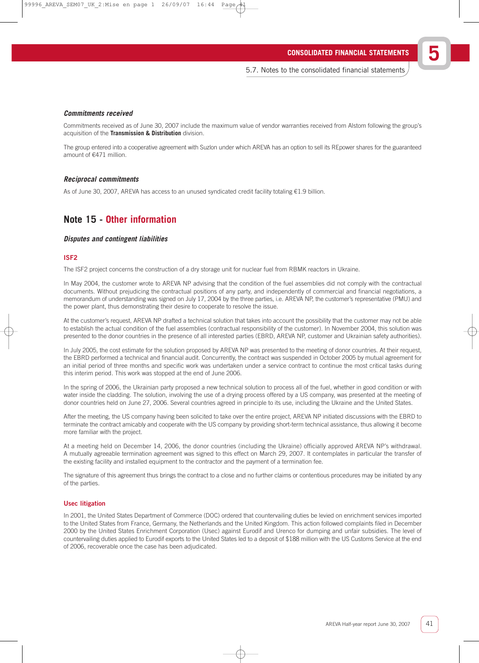### **Commitments received**

Commitments received as of June 30, 2007 include the maximum value of vendor warranties received from Alstom following the group's acquisition of the **Transmission & Distribution** division.

The group entered into a cooperative agreement with Suzlon under which AREVA has an option to sell its REpower shares for the guaranteed amount of €471 million.

### **Reciprocal commitments**

As of June 30, 2007, AREVA has access to an unused syndicated credit facility totaling €1.9 billion.

## **Note 15 - Other information**

### **Disputes and contingent liabilities**

### ISF2

The ISF2 project concerns the construction of a dry storage unit for nuclear fuel from RBMK reactors in Ukraine.

In May 2004, the customer wrote to AREVA NP advising that the condition of the fuel assemblies did not comply with the contractual documents. Without prejudicing the contractual positions of any party, and independently of commercial and financial negotiations, a memorandum of understanding was signed on July 17, 2004 by the three parties, i.e. AREVA NP, the customer's representative (PMU) and the power plant, thus demonstrating their desire to cooperate to resolve the issue.

At the customer's request, AREVA NP drafted a technical solution that takes into account the possibility that the customer may not be able to establish the actual condition of the fuel assemblies (contractual responsibility of the customer). In November 2004, this solution was presented to the donor countries in the presence of all interested parties (EBRD, AREVA NP, customer and Ukrainian safety authorities).

In July 2005, the cost estimate for the solution proposed by AREVA NP was presented to the meeting of donor countries. At their request, the EBRD performed a technical and financial audit. Concurrently, the contract was suspended in October 2005 by mutual agreement for an initial period of three months and specific work was undertaken under a service contract to continue the most critical tasks during this interim period. This work was stopped at the end of June 2006.

In the spring of 2006, the Ukrainian party proposed a new technical solution to process all of the fuel, whether in good condition or with water inside the cladding. The solution, involving the use of a drying process offered by a US company, was presented at the meeting of donor countries held on June 27, 2006. Several countries agreed in principle to its use, including the Ukraine and the United States.

After the meeting, the US company having been solicited to take over the entire project, AREVA NP initiated discussions with the EBRD to terminate the contract amicably and cooperate with the US company by providing short-term technical assistance, thus allowing it become more familiar with the project.

At a meeting held on December 14, 2006, the donor countries (including the Ukraine) officially approved AREVA NP's withdrawal. A mutually agreeable termination agreement was signed to this effect on March 29, 2007. It contemplates in particular the transfer of the existing facility and installed equipment to the contractor and the payment of a termination fee.

The signature of this agreement thus brings the contract to a close and no further claims or contentious procedures may be initiated by any of the parties.

### Usec litigation

In 2001, the United States Department of Commerce (DOC) ordered that countervailing duties be levied on enrichment services imported to the United States from France, Germany, the Netherlands and the United Kingdom. This action followed complaints filed in December 2000 by the United States Enrichment Corporation (Usec) against Eurodif and Urenco for dumping and unfair subsidies. The level of countervailing duties applied to Eurodif exports to the United States led to a deposit of \$188 million with the US Customs Service at the end of 2006, recoverable once the case has been adjudicated.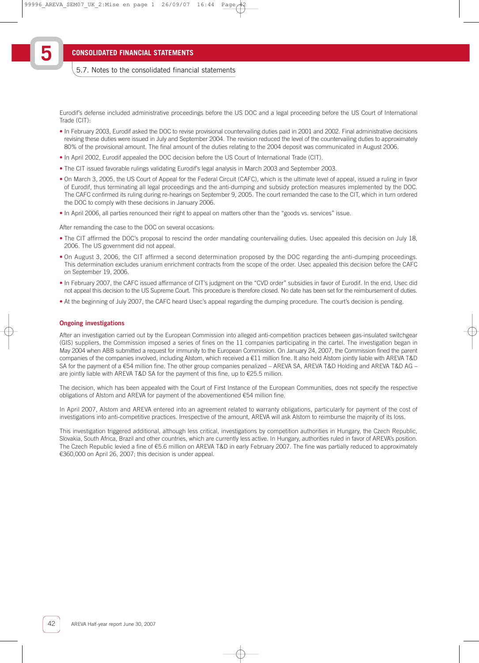**5**

### 5.7. Notes to the consolidated financial statements

Eurodif's defense included administrative proceedings before the US DOC and a legal proceeding before the US Court of International Trade (CIT):

- In February 2003, Eurodif asked the DOC to revise provisional countervailing duties paid in 2001 and 2002. Final administrative decisions revising these duties were issued in July and September 2004. The revision reduced the level of the countervailing duties to approximately 80% of the provisional amount. The final amount of the duties relating to the 2004 deposit was communicated in August 2006.
- In April 2002, Eurodif appealed the DOC decision before the US Court of International Trade (CIT).
- The CIT issued favorable rulings validating Eurodif's legal analysis in March 2003 and September 2003.
- On March 3, 2005, the US Court of Appeal for the Federal Circuit (CAFC), which is the ultimate level of appeal, issued a ruling in favor of Eurodif, thus terminating all legal proceedings and the anti-dumping and subsidy protection measures implemented by the DOC. The CAFC confirmed its ruling during re-hearings on September 9, 2005. The court remanded the case to the CIT, which in turn ordered the DOC to comply with these decisions in January 2006.
- In April 2006, all parties renounced their right to appeal on matters other than the "goods vs. services" issue.

After remanding the case to the DOC on several occasions:

- The CIT affirmed the DOC's proposal to rescind the order mandating countervailing duties. Usec appealed this decision on July 18, 2006. The US government did not appeal.
- On August 3, 2006, the CIT affirmed a second determination proposed by the DOC regarding the anti-dumping proceedings. This determination excludes uranium enrichment contracts from the scope of the order. Usec appealed this decision before the CAFC on September 19, 2006.
- In February 2007, the CAFC issued affirmance of CIT's judgment on the "CVD order" subsidies in favor of Eurodif. In the end, Usec did not appeal this decision to the US Supreme Court. This procedure is therefore closed. No date has been set for the reimbursement of duties.
- At the beginning of July 2007, the CAFC heard Usec's appeal regarding the dumping procedure. The court's decision is pending.

#### Ongoing investigations

After an investigation carried out by the European Commission into alleged anti-competition practices between gas-insulated switchgear (GIS) suppliers, the Commission imposed a series of fines on the 11 companies participating in the cartel. The investigation began in May 2004 when ABB submitted a request for immunity to the European Commission. On January 24, 2007, the Commission fined the parent companies of the companies involved, including Alstom, which received a €11 million fine. It also held Alstom jointly liable with AREVA T&D SA for the payment of a €54 million fine. The other group companies penalized – AREVA SA, AREVA T&D Holding and AREVA T&D AG – are jointly liable with AREVA T&D SA for the payment of this fine, up to  $\epsilon$ 25.5 million.

The decision, which has been appealed with the Court of First Instance of the European Communities, does not specify the respective obligations of Alstom and AREVA for payment of the abovementioned €54 million fine.

In April 2007, Alstom and AREVA entered into an agreement related to warranty obligations, particularly for payment of the cost of investigations into anti-competitive practices. Irrespective of the amount, AREVA will ask Alstom to reimburse the majority of its loss.

This investigation triggered additional, although less critical, investigations by competition authorities in Hungary, the Czech Republic, Slovakia, South Africa, Brazil and other countries, which are currently less active. In Hungary, authorities ruled in favor of AREVA's position. The Czech Republic levied a fine of €5.6 million on AREVA T&D in early February 2007. The fine was partially reduced to approximately €360,000 on April 26, 2007; this decision is under appeal.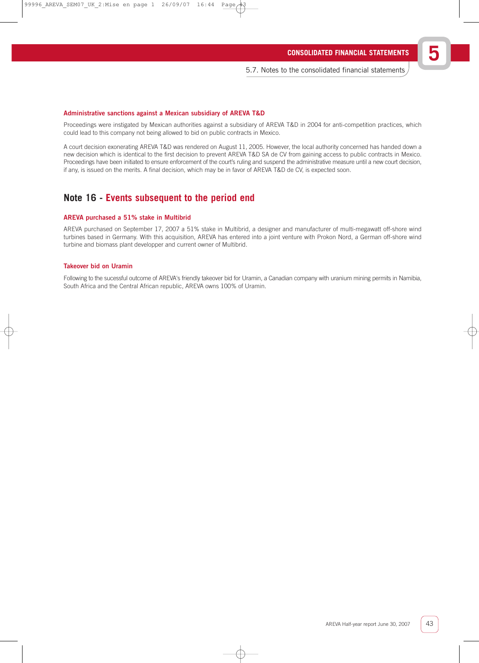#### Administrative sanctions against a Mexican subsidiary of AREVA T&D

Proceedings were instigated by Mexican authorities against a subsidiary of AREVA T&D in 2004 for anti-competition practices, which could lead to this company not being allowed to bid on public contracts in Mexico.

A court decision exonerating AREVA T&D was rendered on August 11, 2005. However, the local authority concerned has handed down a new decision which is identical to the first decision to prevent AREVA T&D SA de CV from gaining access to public contracts in Mexico. Proceedings have been initiated to ensure enforcement of the court's ruling and suspend the administrative measure until a new court decision, if any, is issued on the merits. A final decision, which may be in favor of AREVA T&D de CV, is expected soon.

### **Note 16 - Events subsequent to the period end**

#### AREVA purchased a 51% stake in Multibrid

AREVA purchased on September 17, 2007 a 51% stake in Multibrid, a designer and manufacturer of multi-megawatt off-shore wind turbines based in Germany. With this acquisition, AREVA has entered into a joint venture with Prokon Nord, a German off-shore wind turbine and biomass plant developper and current owner of Multibrid.

### Takeover bid on Uramin

Following to the sucessful outcome of AREVA's friendly takeover bid for Uramin, a Canadian company with uranium mining permits in Namibia, South Africa and the Central African republic, AREVA owns 100% of Uramin.